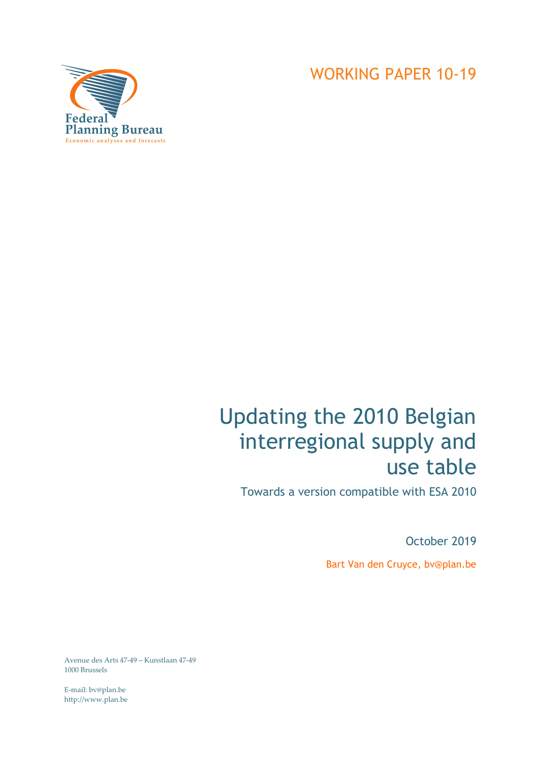

# Updating the 2010 Belgian interregional supply and use table

Towards a version compatible with ESA 2010

October 2019

Bart Van den Cruyce, bv@plan.be

Avenue des Arts 47-49 – Kunstlaan 47-49 1000 Brussels

E-mail: bv@plan.be http://www.plan.be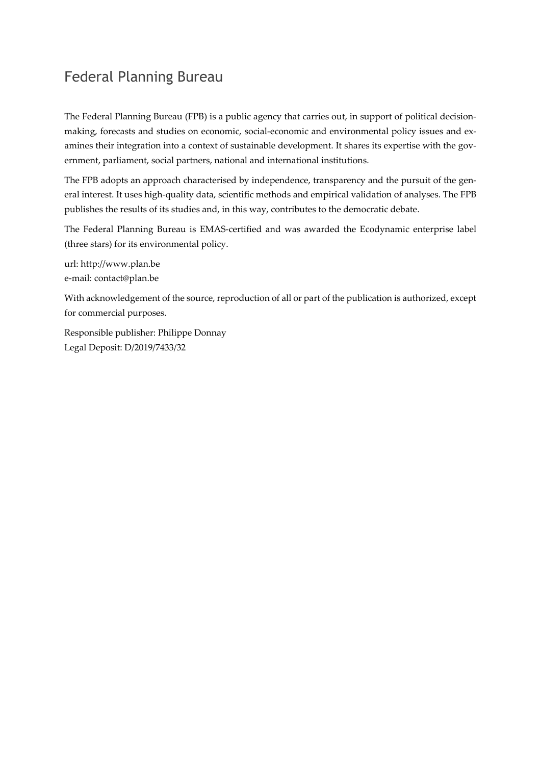## Federal Planning Bureau

The Federal Planning Bureau (FPB) is a public agency that carries out, in support of political decisionmaking, forecasts and studies on economic, social-economic and environmental policy issues and examines their integration into a context of sustainable development. It shares its expertise with the government, parliament, social partners, national and international institutions.

The FPB adopts an approach characterised by independence, transparency and the pursuit of the general interest. It uses high-quality data, scientific methods and empirical validation of analyses. The FPB publishes the results of its studies and, in this way, contributes to the democratic debate.

The Federal Planning Bureau is EMAS-certified and was awarded the Ecodynamic enterprise label (three stars) for its environmental policy.

url: http://www.plan.be e-mail: contact@plan.be

With acknowledgement of the source, reproduction of all or part of the publication is authorized, except for commercial purposes.

Responsible publisher: Philippe Donnay Legal Deposit: D/2019/7433/32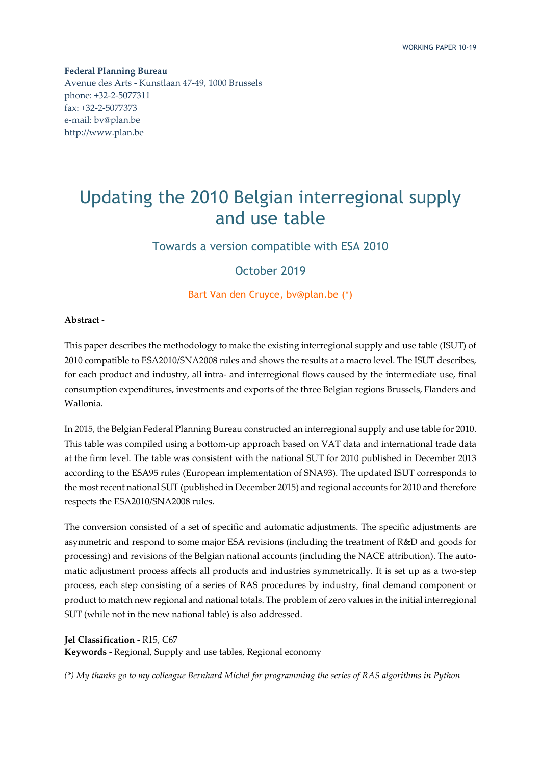**Federal Planning Bureau**  Avenue des Arts - Kunstlaan 47-49, 1000 Brussels phone: +32-2-5077311 fax: +32-2-5077373 e-mail: bv@plan.be http://www.plan.be

## Updating the 2010 Belgian interregional supply and use table

Towards a version compatible with ESA 2010

October 2019

Bart Van den Cruyce, bv@plan.be (\*)

### **Abstract** -

This paper describes the methodology to make the existing interregional supply and use table (ISUT) of 2010 compatible to ESA2010/SNA2008 rules and shows the results at a macro level. The ISUT describes, for each product and industry, all intra- and interregional flows caused by the intermediate use, final consumption expenditures, investments and exports of the three Belgian regions Brussels, Flanders and Wallonia.

In 2015, the Belgian Federal Planning Bureau constructed an interregional supply and use table for 2010. This table was compiled using a bottom-up approach based on VAT data and international trade data at the firm level. The table was consistent with the national SUT for 2010 published in December 2013 according to the ESA95 rules (European implementation of SNA93). The updated ISUT corresponds to the most recent national SUT (published in December 2015) and regional accounts for 2010 and therefore respects the ESA2010/SNA2008 rules.

The conversion consisted of a set of specific and automatic adjustments. The specific adjustments are asymmetric and respond to some major ESA revisions (including the treatment of R&D and goods for processing) and revisions of the Belgian national accounts (including the NACE attribution). The automatic adjustment process affects all products and industries symmetrically. It is set up as a two-step process, each step consisting of a series of RAS procedures by industry, final demand component or product to match new regional and national totals. The problem of zero values in the initial interregional SUT (while not in the new national table) is also addressed.

**Jel Classification** - R15, C67 **Keywords** - Regional, Supply and use tables, Regional economy

*(\*) My thanks go to my colleague Bernhard Michel for programming the series of RAS algorithms in Python*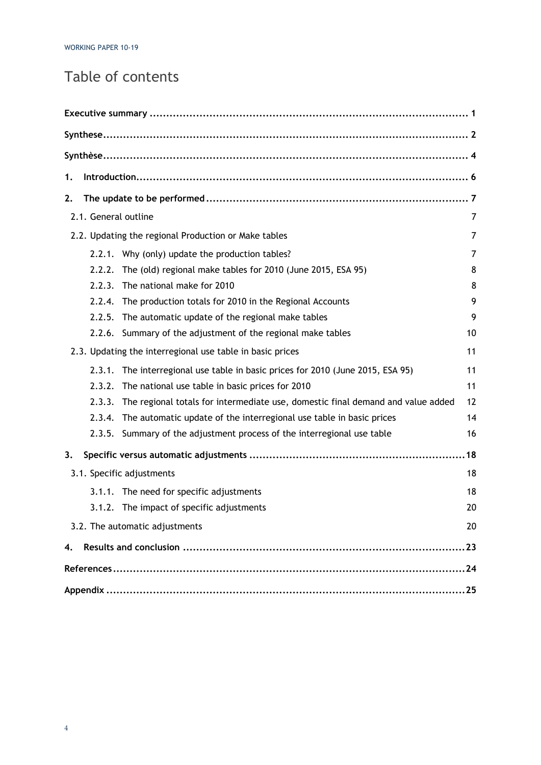## Table of contents

| 1. |                      |                                                                                 |    |
|----|----------------------|---------------------------------------------------------------------------------|----|
| 2. |                      |                                                                                 |    |
|    | 2.1. General outline |                                                                                 | 7  |
|    |                      | 2.2. Updating the regional Production or Make tables                            | 7  |
|    |                      | 2.2.1. Why (only) update the production tables?                                 | 7  |
|    | 2.2.2.               | The (old) regional make tables for 2010 (June 2015, ESA 95)                     | 8  |
|    | 2.2.3.               | The national make for 2010                                                      | 8  |
|    | 2.2.4.               | The production totals for 2010 in the Regional Accounts                         | 9  |
|    | 2.2.5.               | The automatic update of the regional make tables                                | 9  |
|    |                      | 2.2.6. Summary of the adjustment of the regional make tables                    | 10 |
|    |                      | 2.3. Updating the interregional use table in basic prices                       | 11 |
|    | 2.3.1.               | The interregional use table in basic prices for 2010 (June 2015, ESA 95)        | 11 |
|    | 2.3.2.               | The national use table in basic prices for 2010                                 | 11 |
|    | 2.3.3.               | The regional totals for intermediate use, domestic final demand and value added | 12 |
|    | 2.3.4.               | The automatic update of the interregional use table in basic prices             | 14 |
|    | 2.3.5.               | Summary of the adjustment process of the interregional use table                | 16 |
| 3. |                      |                                                                                 |    |
|    |                      | 3.1. Specific adjustments                                                       | 18 |
|    |                      | 3.1.1. The need for specific adjustments                                        | 18 |
|    |                      | 3.1.2. The impact of specific adjustments                                       | 20 |
|    |                      | 3.2. The automatic adjustments                                                  | 20 |
| 4. |                      |                                                                                 |    |
|    |                      |                                                                                 |    |
|    |                      |                                                                                 |    |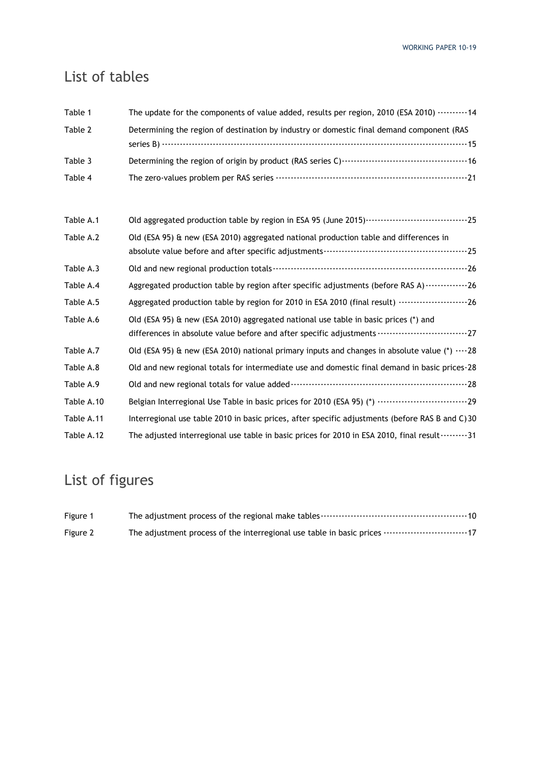## List of tables

| Table 1    | The update for the components of value added, results per region, 2010 (ESA 2010) 14                  |
|------------|-------------------------------------------------------------------------------------------------------|
| Table 2    | Determining the region of destination by industry or domestic final demand component (RAS             |
| Table 3    |                                                                                                       |
| Table 4    |                                                                                                       |
| Table A.1  | Old aggregated production table by region in ESA 95 (June 2015) ·································25   |
| Table A.2  | Old (ESA 95) & new (ESA 2010) aggregated national production table and differences in                 |
|            |                                                                                                       |
| Table A.3  |                                                                                                       |
| Table A.4  | Aggregated production table by region after specific adjustments (before RAS A) 26                    |
| Table A.5  | Aggregated production table by region for 2010 in ESA 2010 (final result) 26                          |
| Table A.6  | Old (ESA 95) $\hat{a}$ new (ESA 2010) aggregated national use table in basic prices (*) and           |
|            | differences in absolute value before and after specific adjustments 27                                |
| Table A.7  | Old (ESA 95) & new (ESA 2010) national primary inputs and changes in absolute value (*) $\cdots$ 28   |
| Table A.8  | Old and new regional totals for intermediate use and domestic final demand in basic prices 28         |
| Table A.9  |                                                                                                       |
| Table A.10 | Belgian Interregional Use Table in basic prices for 2010 (ESA 95) (*) ·····························29 |
| Table A.11 | Interregional use table 2010 in basic prices, after specific adjustments (before RAS B and C) 30      |
| Table A.12 | The adjusted interregional use table in basic prices for 2010 in ESA 2010, final result 31            |

## List of figures

| Figure 1 |  |
|----------|--|
| Figure 2 |  |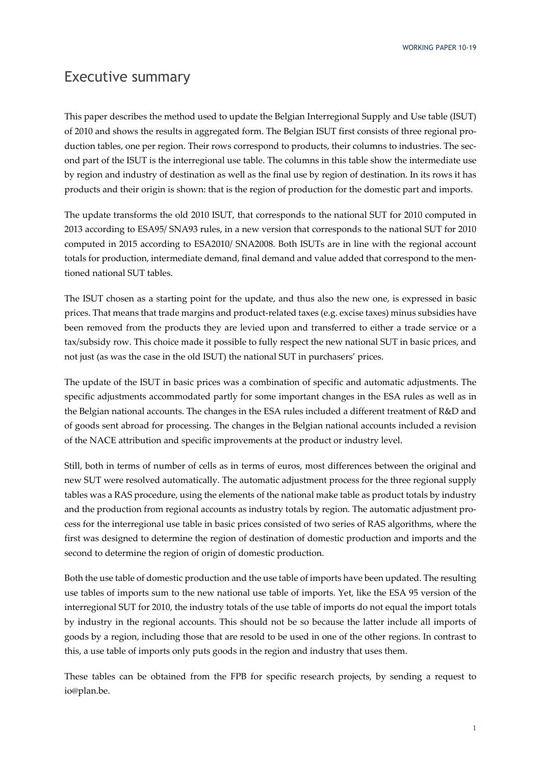## Executive summary

This paper describes the method used to update the Belgian Interregional Supply and Use table (ISUT) of 2010 and shows the results in aggregated form. The Belgian ISUT first consists of three regional production tables, one per region. Their rows correspond to products, their columns to industries. The second part of the ISUT is the interregional use table. The columns in this table show the intermediate use by region and industry of destination as well as the final use by region of destination. In its rows it has products and their origin is shown: that is the region of production for the domestic part and imports.

The update transforms the old 2010 ISUT, that corresponds to the national SUT for 2010 computed in 2013 according to ESA95/ SNA93 rules, in a new version that corresponds to the national SUT for 2010 computed in 2015 according to ESA2010/ SNA2008. Both ISUTs are in line with the regional account totals for production, intermediate demand, final demand and value added that correspond to the mentioned national SUT tables.

The ISUT chosen as a starting point for the update, and thus also the new one, is expressed in basic prices. That means that trade margins and product-related taxes (e.g. excise taxes) minus subsidies have been removed from the products they are levied upon and transferred to either a trade service or a tax/subsidy row. This choice made it possible to fully respect the new national SUT in basic prices, and not just (as was the case in the old ISUT) the national SUT in purchasers' prices.

The update of the ISUT in basic prices was a combination of specific and automatic adjustments. The specific adjustments accommodated partly for some important changes in the ESA rules as well as in the Belgian national accounts. The changes in the ESA rules included a different treatment of R&D and of goods sent abroad for processing. The changes in the Belgian national accounts included a revision of the NACE attribution and specific improvements at the product or industry level.

Still, both in terms of number of cells as in terms of euros, most differences between the original and new SUT were resolved automatically. The automatic adjustment process for the three regional supply tables was a RAS procedure, using the elements of the national make table as product totals by industry and the production from regional accounts as industry totals by region. The automatic adjustment process for the interregional use table in basic prices consisted of two series of RAS algorithms, where the first was designed to determine the region of destination of domestic production and imports and the second to determine the region of origin of domestic production.

Both the use table of domestic production and the use table of imports have been updated. The resulting use tables of imports sum to the new national use table of imports. Yet, like the ESA 95 version of the interregional SUT for 2010, the industry totals of the use table of imports do not equal the import totals by industry in the regional accounts. This should not be so because the latter include all imports of goods by a region, including those that are resold to be used in one of the other regions. In contrast to this, a use table of imports only puts goods in the region and industry that uses them.

These tables can be obtained from the FPB for specific research projects, by sending a request to io@plan.be.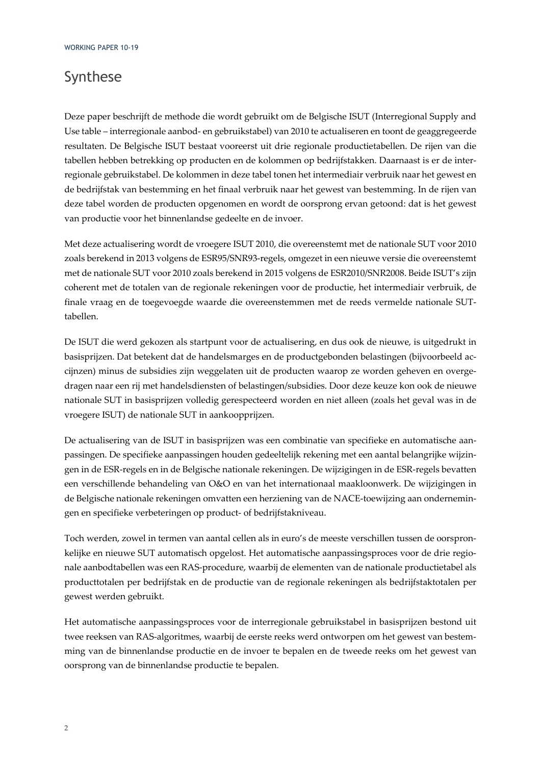## Synthese

Deze paper beschrijft de methode die wordt gebruikt om de Belgische ISUT (Interregional Supply and Use table – interregionale aanbod- en gebruikstabel) van 2010 te actualiseren en toont de geaggregeerde resultaten. De Belgische ISUT bestaat vooreerst uit drie regionale productietabellen. De rijen van die tabellen hebben betrekking op producten en de kolommen op bedrijfstakken. Daarnaast is er de interregionale gebruikstabel. De kolommen in deze tabel tonen het intermediair verbruik naar het gewest en de bedrijfstak van bestemming en het finaal verbruik naar het gewest van bestemming. In de rijen van deze tabel worden de producten opgenomen en wordt de oorsprong ervan getoond: dat is het gewest van productie voor het binnenlandse gedeelte en de invoer.

Met deze actualisering wordt de vroegere ISUT 2010, die overeenstemt met de nationale SUT voor 2010 zoals berekend in 2013 volgens de ESR95/SNR93-regels, omgezet in een nieuwe versie die overeenstemt met de nationale SUT voor 2010 zoals berekend in 2015 volgens de ESR2010/SNR2008. Beide ISUT's zijn coherent met de totalen van de regionale rekeningen voor de productie, het intermediair verbruik, de finale vraag en de toegevoegde waarde die overeenstemmen met de reeds vermelde nationale SUTtabellen.

De ISUT die werd gekozen als startpunt voor de actualisering, en dus ook de nieuwe, is uitgedrukt in basisprijzen. Dat betekent dat de handelsmarges en de productgebonden belastingen (bijvoorbeeld accijnzen) minus de subsidies zijn weggelaten uit de producten waarop ze worden geheven en overgedragen naar een rij met handelsdiensten of belastingen/subsidies. Door deze keuze kon ook de nieuwe nationale SUT in basisprijzen volledig gerespecteerd worden en niet alleen (zoals het geval was in de vroegere ISUT) de nationale SUT in aankoopprijzen.

De actualisering van de ISUT in basisprijzen was een combinatie van specifieke en automatische aanpassingen. De specifieke aanpassingen houden gedeeltelijk rekening met een aantal belangrijke wijzingen in de ESR-regels en in de Belgische nationale rekeningen. De wijzigingen in de ESR-regels bevatten een verschillende behandeling van O&O en van het internationaal maakloonwerk. De wijzigingen in de Belgische nationale rekeningen omvatten een herziening van de NACE-toewijzing aan ondernemingen en specifieke verbeteringen op product- of bedrijfstakniveau.

Toch werden, zowel in termen van aantal cellen als in euro's de meeste verschillen tussen de oorspronkelijke en nieuwe SUT automatisch opgelost. Het automatische aanpassingsproces voor de drie regionale aanbodtabellen was een RAS-procedure, waarbij de elementen van de nationale productietabel als producttotalen per bedrijfstak en de productie van de regionale rekeningen als bedrijfstaktotalen per gewest werden gebruikt.

Het automatische aanpassingsproces voor de interregionale gebruikstabel in basisprijzen bestond uit twee reeksen van RAS-algoritmes, waarbij de eerste reeks werd ontworpen om het gewest van bestemming van de binnenlandse productie en de invoer te bepalen en de tweede reeks om het gewest van oorsprong van de binnenlandse productie te bepalen.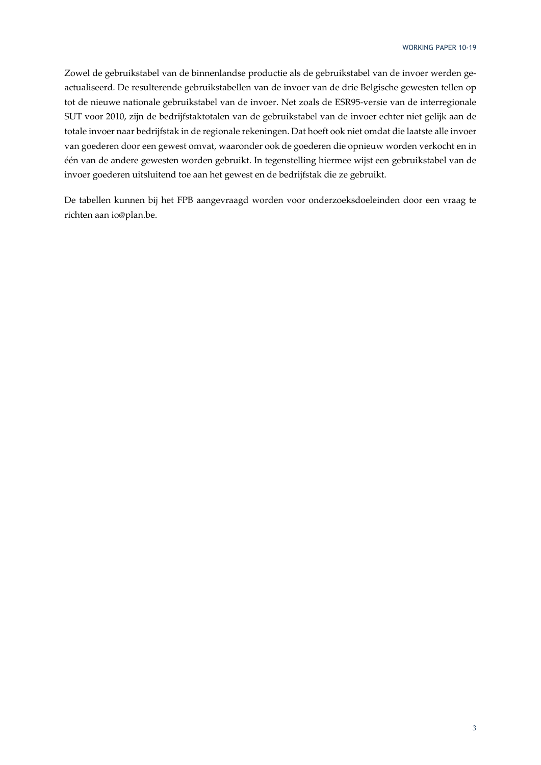Zowel de gebruikstabel van de binnenlandse productie als de gebruikstabel van de invoer werden geactualiseerd. De resulterende gebruikstabellen van de invoer van de drie Belgische gewesten tellen op tot de nieuwe nationale gebruikstabel van de invoer. Net zoals de ESR95-versie van de interregionale SUT voor 2010, zijn de bedrijfstaktotalen van de gebruikstabel van de invoer echter niet gelijk aan de totale invoer naar bedrijfstak in de regionale rekeningen. Dat hoeft ook niet omdat die laatste alle invoer van goederen door een gewest omvat, waaronder ook de goederen die opnieuw worden verkocht en in één van de andere gewesten worden gebruikt. In tegenstelling hiermee wijst een gebruikstabel van de invoer goederen uitsluitend toe aan het gewest en de bedrijfstak die ze gebruikt.

De tabellen kunnen bij het FPB aangevraagd worden voor onderzoeksdoeleinden door een vraag te richten aan io@plan.be.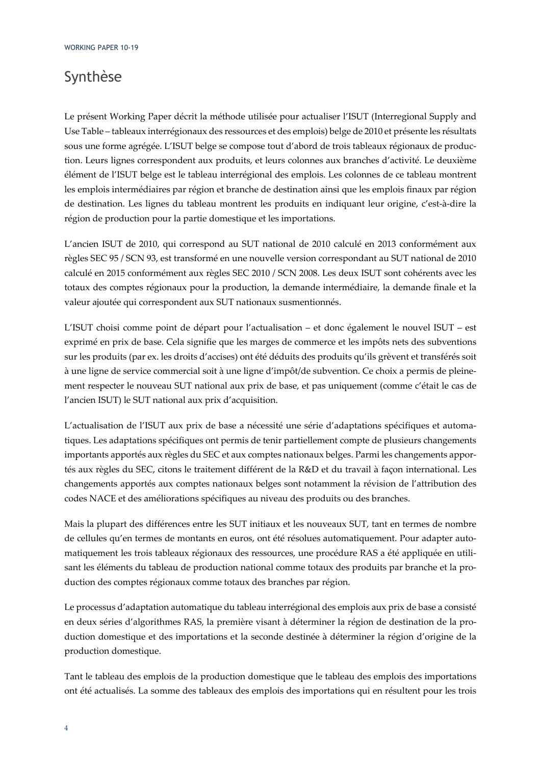## Synthèse

Le présent Working Paper décrit la méthode utilisée pour actualiser l'ISUT (Interregional Supply and Use Table – tableaux interrégionaux des ressources et des emplois) belge de 2010 et présente les résultats sous une forme agrégée. L'ISUT belge se compose tout d'abord de trois tableaux régionaux de production. Leurs lignes correspondent aux produits, et leurs colonnes aux branches d'activité. Le deuxième élément de l'ISUT belge est le tableau interrégional des emplois. Les colonnes de ce tableau montrent les emplois intermédiaires par région et branche de destination ainsi que les emplois finaux par région de destination. Les lignes du tableau montrent les produits en indiquant leur origine, c'est-à-dire la région de production pour la partie domestique et les importations.

L'ancien ISUT de 2010, qui correspond au SUT national de 2010 calculé en 2013 conformément aux règles SEC 95 / SCN 93, est transformé en une nouvelle version correspondant au SUT national de 2010 calculé en 2015 conformément aux règles SEC 2010 / SCN 2008. Les deux ISUT sont cohérents avec les totaux des comptes régionaux pour la production, la demande intermédiaire, la demande finale et la valeur ajoutée qui correspondent aux SUT nationaux susmentionnés.

L'ISUT choisi comme point de départ pour l'actualisation – et donc également le nouvel ISUT – est exprimé en prix de base. Cela signifie que les marges de commerce et les impôts nets des subventions sur les produits (par ex. les droits d'accises) ont été déduits des produits qu'ils grèvent et transférés soit à une ligne de service commercial soit à une ligne d'impôt/de subvention. Ce choix a permis de pleinement respecter le nouveau SUT national aux prix de base, et pas uniquement (comme c'était le cas de l'ancien ISUT) le SUT national aux prix d'acquisition.

L'actualisation de l'ISUT aux prix de base a nécessité une série d'adaptations spécifiques et automatiques. Les adaptations spécifiques ont permis de tenir partiellement compte de plusieurs changements importants apportés aux règles du SEC et aux comptes nationaux belges. Parmi les changements apportés aux règles du SEC, citons le traitement différent de la R&D et du travail à façon international. Les changements apportés aux comptes nationaux belges sont notamment la révision de l'attribution des codes NACE et des améliorations spécifiques au niveau des produits ou des branches.

Mais la plupart des différences entre les SUT initiaux et les nouveaux SUT, tant en termes de nombre de cellules qu'en termes de montants en euros, ont été résolues automatiquement. Pour adapter automatiquement les trois tableaux régionaux des ressources, une procédure RAS a été appliquée en utilisant les éléments du tableau de production national comme totaux des produits par branche et la production des comptes régionaux comme totaux des branches par région.

Le processus d'adaptation automatique du tableau interrégional des emplois aux prix de base a consisté en deux séries d'algorithmes RAS, la première visant à déterminer la région de destination de la production domestique et des importations et la seconde destinée à déterminer la région d'origine de la production domestique.

Tant le tableau des emplois de la production domestique que le tableau des emplois des importations ont été actualisés. La somme des tableaux des emplois des importations qui en résultent pour les trois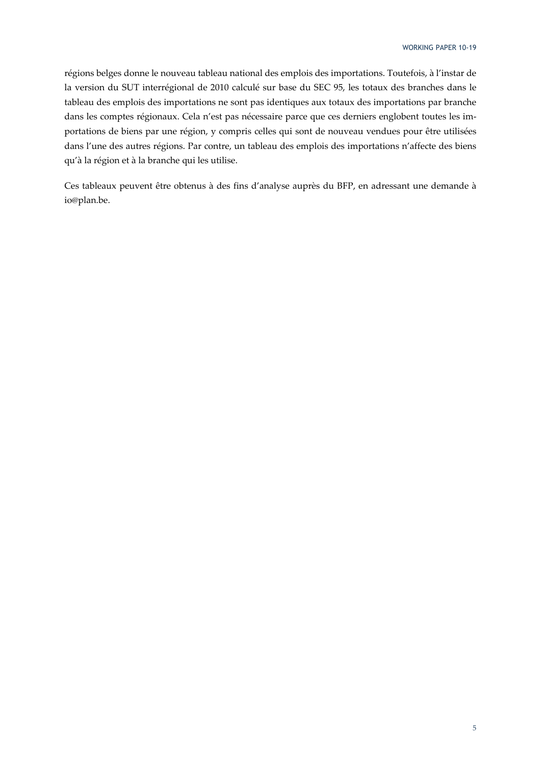régions belges donne le nouveau tableau national des emplois des importations. Toutefois, à l'instar de la version du SUT interrégional de 2010 calculé sur base du SEC 95, les totaux des branches dans le tableau des emplois des importations ne sont pas identiques aux totaux des importations par branche dans les comptes régionaux. Cela n'est pas nécessaire parce que ces derniers englobent toutes les importations de biens par une région, y compris celles qui sont de nouveau vendues pour être utilisées dans l'une des autres régions. Par contre, un tableau des emplois des importations n'affecte des biens qu'à la région et à la branche qui les utilise.

Ces tableaux peuvent être obtenus à des fins d'analyse auprès du BFP, en adressant une demande à io@plan.be.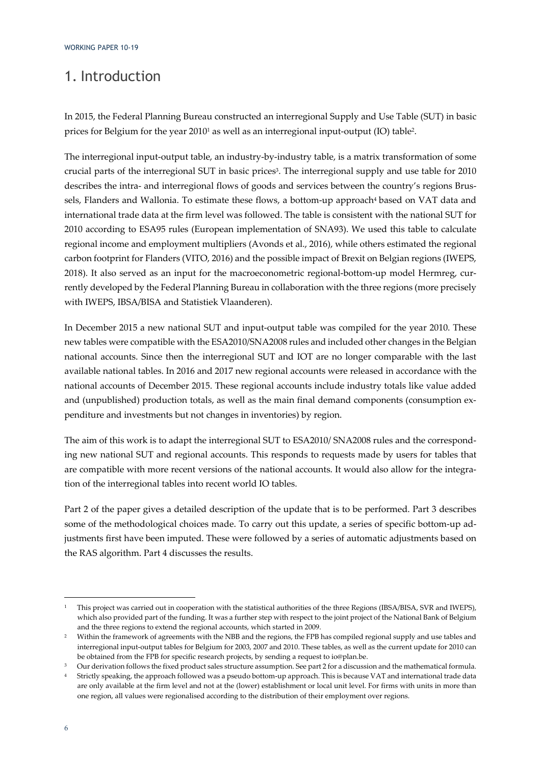## 1. Introduction

In 2015, the Federal Planning Bureau constructed an interregional Supply and Use Table (SUT) in basic prices for Belgium for the year 2010<sup>1</sup> as well as an interregional input-output (IO) table<sup>2</sup>.

The interregional input-output table, an industry-by-industry table, is a matrix transformation of some crucial parts of the interregional SUT in basic prices<sup>3</sup>. The interregional supply and use table for 2010 describes the intra- and interregional flows of goods and services between the country's regions Brussels, Flanders and Wallonia. To estimate these flows, a bottom-up approach<sup>4</sup> based on VAT data and international trade data at the firm level was followed. The table is consistent with the national SUT for 2010 according to ESA95 rules (European implementation of SNA93). We used this table to calculate regional income and employment multipliers (Avonds et al., 2016), while others estimated the regional carbon footprint for Flanders (VITO, 2016) and the possible impact of Brexit on Belgian regions (IWEPS, 2018). It also served as an input for the macroeconometric regional-bottom-up model Hermreg, currently developed by the Federal Planning Bureau in collaboration with the three regions (more precisely with IWEPS, IBSA/BISA and Statistiek Vlaanderen).

In December 2015 a new national SUT and input-output table was compiled for the year 2010. These new tables were compatible with the ESA2010/SNA2008 rules and included other changes in the Belgian national accounts. Since then the interregional SUT and IOT are no longer comparable with the last available national tables. In 2016 and 2017 new regional accounts were released in accordance with the national accounts of December 2015. These regional accounts include industry totals like value added and (unpublished) production totals, as well as the main final demand components (consumption expenditure and investments but not changes in inventories) by region.

The aim of this work is to adapt the interregional SUT to ESA2010/ SNA2008 rules and the corresponding new national SUT and regional accounts. This responds to requests made by users for tables that are compatible with more recent versions of the national accounts. It would also allow for the integration of the interregional tables into recent world IO tables.

Part 2 of the paper gives a detailed description of the update that is to be performed. Part 3 describes some of the methodological choices made. To carry out this update, a series of specific bottom-up adjustments first have been imputed. These were followed by a series of automatic adjustments based on the RAS algorithm. Part 4 discusses the results.

<sup>1</sup> This project was carried out in cooperation with the statistical authorities of the three Regions (IBSA/BISA, SVR and IWEPS), which also provided part of the funding. It was a further step with respect to the joint project of the National Bank of Belgium and the three regions to extend the regional accounts, which started in 2009.

<sup>&</sup>lt;sup>2</sup> Within the framework of agreements with the NBB and the regions, the FPB has compiled regional supply and use tables and interregional input-output tables for Belgium for 2003, 2007 and 2010. These tables, as well as the current update for 2010 can be obtained from the FPB for specific research projects, by sending a request to io@plan.be.

<sup>&</sup>lt;sup>3</sup> Our derivation follows the fixed product sales structure assumption. See part 2 for a discussion and the mathematical formula.

<sup>4</sup> Strictly speaking, the approach followed was a pseudo bottom-up approach. This is because VAT and international trade data are only available at the firm level and not at the (lower) establishment or local unit level. For firms with units in more than one region, all values were regionalised according to the distribution of their employment over regions.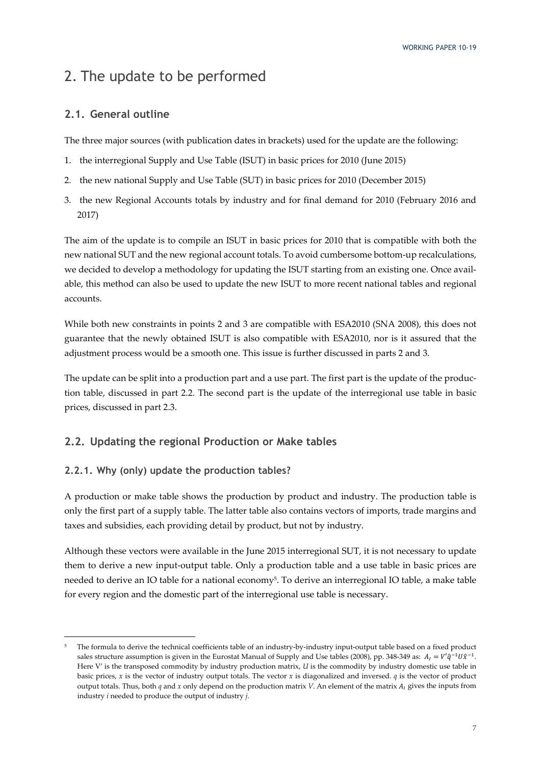## 2. The update to be performed

### **2.1. General outline**

The three major sources (with publication dates in brackets) used for the update are the following:

- 1. the interregional Supply and Use Table (ISUT) in basic prices for 2010 (June 2015)
- 2. the new national Supply and Use Table (SUT) in basic prices for 2010 (December 2015)
- 3. the new Regional Accounts totals by industry and for final demand for 2010 (February 2016 and 2017)

The aim of the update is to compile an ISUT in basic prices for 2010 that is compatible with both the new national SUT and the new regional account totals. To avoid cumbersome bottom-up recalculations, we decided to develop a methodology for updating the ISUT starting from an existing one. Once available, this method can also be used to update the new ISUT to more recent national tables and regional accounts.

While both new constraints in points 2 and 3 are compatible with ESA2010 (SNA 2008), this does not guarantee that the newly obtained ISUT is also compatible with ESA2010, nor is it assured that the adjustment process would be a smooth one. This issue is further discussed in parts 2 and 3.

The update can be split into a production part and a use part. The first part is the update of the production table, discussed in part 2.2. The second part is the update of the interregional use table in basic prices, discussed in part 2.3.

### **2.2. Updating the regional Production or Make tables**

### **2.2.1. Why (only) update the production tables?**

A production or make table shows the production by product and industry. The production table is only the first part of a supply table. The latter table also contains vectors of imports, trade margins and taxes and subsidies, each providing detail by product, but not by industry.

Although these vectors were available in the June 2015 interregional SUT, it is not necessary to update them to derive a new input-output table. Only a production table and a use table in basic prices are needed to derive an IO table for a national economy<sup>5</sup>. To derive an interregional IO table, a make table for every region and the domestic part of the interregional use table is necessary.

<sup>5</sup> The formula to derive the technical coefficients table of an industry-by-industry input-output table based on a fixed product sales structure assumption is given in the Eurostat Manual of Supply and Use tables (2008), pp. 348-349 as:  $A<sub>1</sub> = V' \hat{q}^{-1} U \hat{x}^{-1}$ . Here V' is the transposed commodity by industry production matrix, *U* is the commodity by industry domestic use table in basic prices, *x* is the vector of industry output totals. The vector *x* is diagonalized and inversed. *q* is the vector of product output totals. Thus, both  $q$  and  $x$  only depend on the production matrix *V*. An element of the matrix  $A<sub>l</sub>$  gives the inputs from industry *i* needed to produce the output of industry *j*.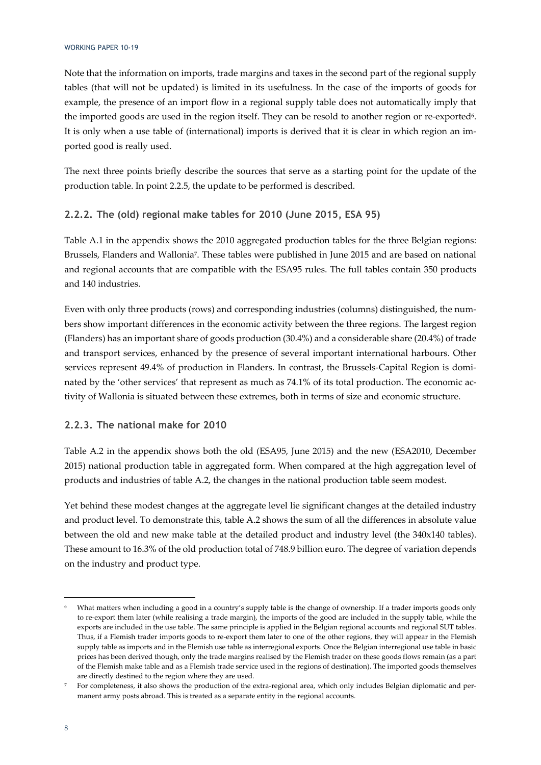Note that the information on imports, trade margins and taxes in the second part of the regional supply tables (that will not be updated) is limited in its usefulness. In the case of the imports of goods for example, the presence of an import flow in a regional supply table does not automatically imply that the imported goods are used in the region itself. They can be resold to another region or re-exported<sup>6</sup>. It is only when a use table of (international) imports is derived that it is clear in which region an imported good is really used.

The next three points briefly describe the sources that serve as a starting point for the update of the production table. In point 2.2.5, the update to be performed is described.

### **2.2.2. The (old) regional make tables for 2010 (June 2015, ESA 95)**

Table A.1 in the appendix shows the 2010 aggregated production tables for the three Belgian regions: Brussels, Flanders and Wallonia7. These tables were published in June 2015 and are based on national and regional accounts that are compatible with the ESA95 rules. The full tables contain 350 products and 140 industries.

Even with only three products (rows) and corresponding industries (columns) distinguished, the numbers show important differences in the economic activity between the three regions. The largest region (Flanders) has an important share of goods production (30.4%) and a considerable share (20.4%) of trade and transport services, enhanced by the presence of several important international harbours. Other services represent 49.4% of production in Flanders. In contrast, the Brussels-Capital Region is dominated by the 'other services' that represent as much as 74.1% of its total production. The economic activity of Wallonia is situated between these extremes, both in terms of size and economic structure.

#### **2.2.3. The national make for 2010**

Table A.2 in the appendix shows both the old (ESA95, June 2015) and the new (ESA2010, December 2015) national production table in aggregated form. When compared at the high aggregation level of products and industries of table A.2, the changes in the national production table seem modest.

Yet behind these modest changes at the aggregate level lie significant changes at the detailed industry and product level. To demonstrate this, table A.2 shows the sum of all the differences in absolute value between the old and new make table at the detailed product and industry level (the 340x140 tables). These amount to 16.3% of the old production total of 748.9 billion euro. The degree of variation depends on the industry and product type.

<sup>6</sup> What matters when including a good in a country's supply table is the change of ownership. If a trader imports goods only to re-export them later (while realising a trade margin), the imports of the good are included in the supply table, while the exports are included in the use table. The same principle is applied in the Belgian regional accounts and regional SUT tables. Thus, if a Flemish trader imports goods to re-export them later to one of the other regions, they will appear in the Flemish supply table as imports and in the Flemish use table as interregional exports. Once the Belgian interregional use table in basic prices has been derived though, only the trade margins realised by the Flemish trader on these goods flows remain (as a part of the Flemish make table and as a Flemish trade service used in the regions of destination). The imported goods themselves are directly destined to the region where they are used.

<sup>7</sup> For completeness, it also shows the production of the extra-regional area, which only includes Belgian diplomatic and permanent army posts abroad. This is treated as a separate entity in the regional accounts.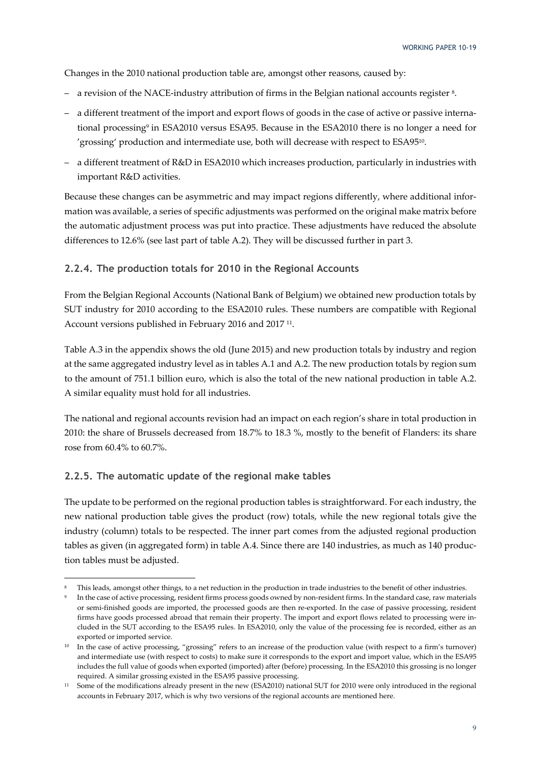Changes in the 2010 national production table are, amongst other reasons, caused by:

- a revision of the NACE-industry attribution of firms in the Belgian national accounts register 8.
- a different treatment of the import and export flows of goods in the case of active or passive international processing<sup>9</sup> in ESA2010 versus ESA95. Because in the ESA2010 there is no longer a need for 'grossing' production and intermediate use, both will decrease with respect to ESA9510.
- a different treatment of R&D in ESA2010 which increases production, particularly in industries with important R&D activities.

Because these changes can be asymmetric and may impact regions differently, where additional information was available, a series of specific adjustments was performed on the original make matrix before the automatic adjustment process was put into practice. These adjustments have reduced the absolute differences to 12.6% (see last part of table A.2). They will be discussed further in part 3.

#### **2.2.4. The production totals for 2010 in the Regional Accounts**

From the Belgian Regional Accounts (National Bank of Belgium) we obtained new production totals by SUT industry for 2010 according to the ESA2010 rules. These numbers are compatible with Regional Account versions published in February 2016 and 2017 11.

Table A.3 in the appendix shows the old (June 2015) and new production totals by industry and region at the same aggregated industry level as in tables A.1 and A.2. The new production totals by region sum to the amount of 751.1 billion euro, which is also the total of the new national production in table A.2. A similar equality must hold for all industries.

The national and regional accounts revision had an impact on each region's share in total production in 2010: the share of Brussels decreased from 18.7% to 18.3 %, mostly to the benefit of Flanders: its share rose from 60.4% to 60.7%.

#### **2.2.5. The automatic update of the regional make tables**

The update to be performed on the regional production tables is straightforward. For each industry, the new national production table gives the product (row) totals, while the new regional totals give the industry (column) totals to be respected. The inner part comes from the adjusted regional production tables as given (in aggregated form) in table A.4. Since there are 140 industries, as much as 140 production tables must be adjusted.

This leads, amongst other things, to a net reduction in the production in trade industries to the benefit of other industries.

<sup>9</sup> In the case of active processing, resident firms process goods owned by non-resident firms. In the standard case, raw materials or semi-finished goods are imported, the processed goods are then re-exported. In the case of passive processing, resident firms have goods processed abroad that remain their property. The import and export flows related to processing were included in the SUT according to the ESA95 rules. In ESA2010, only the value of the processing fee is recorded, either as an exported or imported service.

<sup>&</sup>lt;sup>10</sup> In the case of active processing, "grossing" refers to an increase of the production value (with respect to a firm's turnover) and intermediate use (with respect to costs) to make sure it corresponds to the export and import value, which in the ESA95 includes the full value of goods when exported (imported) after (before) processing. In the ESA2010 this grossing is no longer required. A similar grossing existed in the ESA95 passive processing.

<sup>11</sup> Some of the modifications already present in the new (ESA2010) national SUT for 2010 were only introduced in the regional accounts in February 2017, which is why two versions of the regional accounts are mentioned here.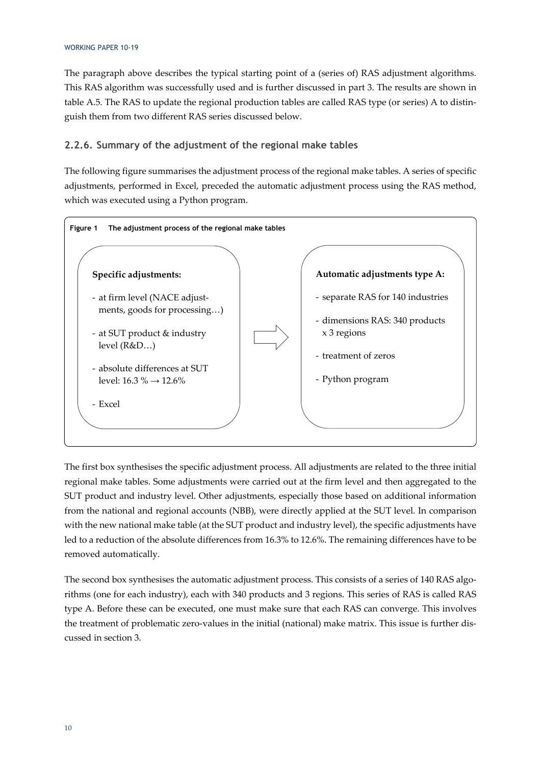The paragraph above describes the typical starting point of a (series of) RAS adjustment algorithms. This RAS algorithm was successfully used and is further discussed in part 3. The results are shown in table A.5. The RAS to update the regional production tables are called RAS type (or series) A to distinguish them from two different RAS series discussed below.

### **2.2.6. Summary of the adjustment of the regional make tables**

The following figure summarises the adjustment process of the regional make tables. A series of specific adjustments, performed in Excel, preceded the automatic adjustment process using the RAS method, which was executed using a Python program.



The first box synthesises the specific adjustment process. All adjustments are related to the three initial regional make tables. Some adjustments were carried out at the firm level and then aggregated to the SUT product and industry level. Other adjustments, especially those based on additional information from the national and regional accounts (NBB), were directly applied at the SUT level. In comparison with the new national make table (at the SUT product and industry level), the specific adjustments have led to a reduction of the absolute differences from 16.3% to 12.6%. The remaining differences have to be removed automatically.

The second box synthesises the automatic adjustment process. This consists of a series of 140 RAS algorithms (one for each industry), each with 340 products and 3 regions. This series of RAS is called RAS type A. Before these can be executed, one must make sure that each RAS can converge. This involves the treatment of problematic zero-values in the initial (national) make matrix. This issue is further discussed in section 3.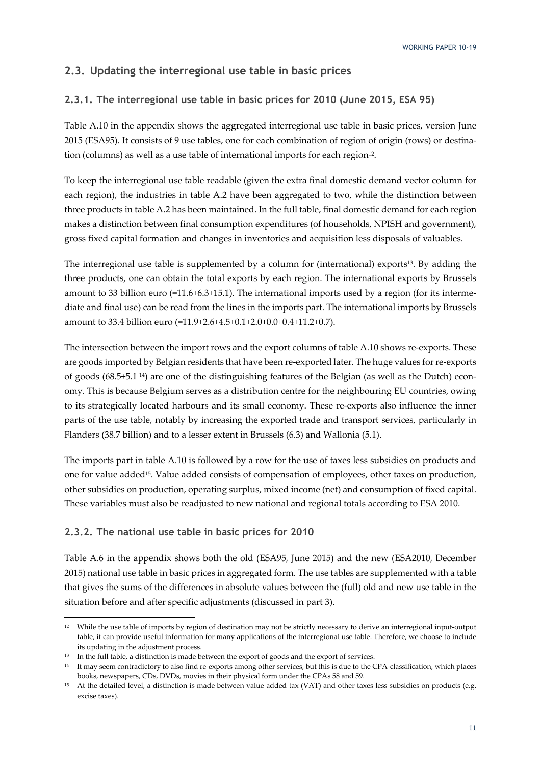### **2.3. Updating the interregional use table in basic prices**

### **2.3.1. The interregional use table in basic prices for 2010 (June 2015, ESA 95)**

Table A.10 in the appendix shows the aggregated interregional use table in basic prices, version June 2015 (ESA95). It consists of 9 use tables, one for each combination of region of origin (rows) or destination (columns) as well as a use table of international imports for each region<sup>12</sup>.

To keep the interregional use table readable (given the extra final domestic demand vector column for each region), the industries in table A.2 have been aggregated to two, while the distinction between three products in table A.2 has been maintained. In the full table, final domestic demand for each region makes a distinction between final consumption expenditures (of households, NPISH and government), gross fixed capital formation and changes in inventories and acquisition less disposals of valuables.

The interregional use table is supplemented by a column for (international) exports<sup>13</sup>. By adding the three products, one can obtain the total exports by each region. The international exports by Brussels amount to 33 billion euro (=11.6+6.3+15.1). The international imports used by a region (for its intermediate and final use) can be read from the lines in the imports part. The international imports by Brussels amount to 33.4 billion euro (=11.9+2.6+4.5+0.1+2.0+0.0+0.4+11.2+0.7).

The intersection between the import rows and the export columns of table A.10 shows re-exports. These are goods imported by Belgian residents that have been re-exported later. The huge values for re-exports of goods  $(68.5+5.1)$ <sup>14</sup>) are one of the distinguishing features of the Belgian (as well as the Dutch) economy. This is because Belgium serves as a distribution centre for the neighbouring EU countries, owing to its strategically located harbours and its small economy. These re-exports also influence the inner parts of the use table, notably by increasing the exported trade and transport services, particularly in Flanders (38.7 billion) and to a lesser extent in Brussels (6.3) and Wallonia (5.1).

The imports part in table A.10 is followed by a row for the use of taxes less subsidies on products and one for value added15. Value added consists of compensation of employees, other taxes on production, other subsidies on production, operating surplus, mixed income (net) and consumption of fixed capital. These variables must also be readjusted to new national and regional totals according to ESA 2010.

#### **2.3.2. The national use table in basic prices for 2010**

Table A.6 in the appendix shows both the old (ESA95, June 2015) and the new (ESA2010, December 2015) national use table in basic prices in aggregated form. The use tables are supplemented with a table that gives the sums of the differences in absolute values between the (full) old and new use table in the situation before and after specific adjustments (discussed in part 3).

<sup>&</sup>lt;sup>12</sup> While the use table of imports by region of destination may not be strictly necessary to derive an interregional input-output table, it can provide useful information for many applications of the interregional use table. Therefore, we choose to include its updating in the adjustment process.

<sup>&</sup>lt;sup>13</sup> In the full table, a distinction is made between the export of goods and the export of services.

<sup>&</sup>lt;sup>14</sup> It may seem contradictory to also find re-exports among other services, but this is due to the CPA-classification, which places books, newspapers, CDs, DVDs, movies in their physical form under the CPAs 58 and 59.

<sup>15</sup> At the detailed level, a distinction is made between value added tax (VAT) and other taxes less subsidies on products (e.g. excise taxes).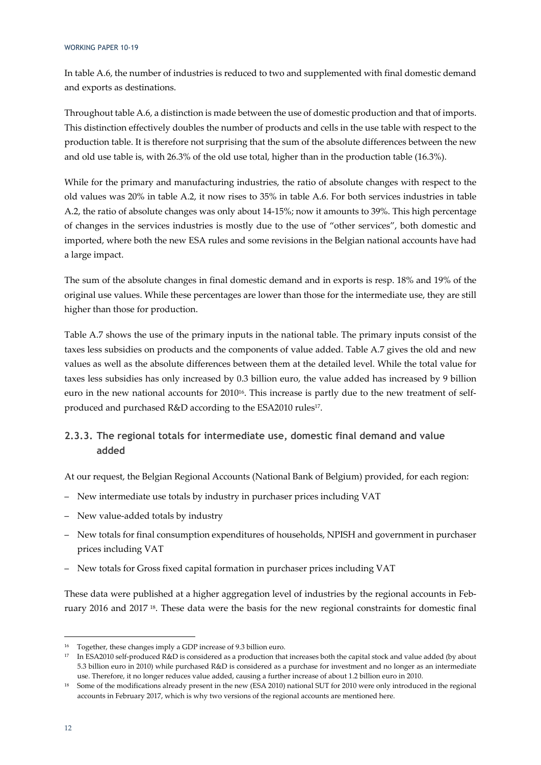In table A.6, the number of industries is reduced to two and supplemented with final domestic demand and exports as destinations.

Throughout table A.6, a distinction is made between the use of domestic production and that of imports. This distinction effectively doubles the number of products and cells in the use table with respect to the production table. It is therefore not surprising that the sum of the absolute differences between the new and old use table is, with 26.3% of the old use total, higher than in the production table (16.3%).

While for the primary and manufacturing industries, the ratio of absolute changes with respect to the old values was 20% in table A.2, it now rises to 35% in table A.6. For both services industries in table A.2, the ratio of absolute changes was only about 14-15%; now it amounts to 39%. This high percentage of changes in the services industries is mostly due to the use of "other services", both domestic and imported, where both the new ESA rules and some revisions in the Belgian national accounts have had a large impact.

The sum of the absolute changes in final domestic demand and in exports is resp. 18% and 19% of the original use values. While these percentages are lower than those for the intermediate use, they are still higher than those for production.

Table A.7 shows the use of the primary inputs in the national table. The primary inputs consist of the taxes less subsidies on products and the components of value added. Table A.7 gives the old and new values as well as the absolute differences between them at the detailed level. While the total value for taxes less subsidies has only increased by 0.3 billion euro, the value added has increased by 9 billion euro in the new national accounts for 2010<sup>16</sup>. This increase is partly due to the new treatment of selfproduced and purchased R&D according to the ESA2010 rules<sup>17</sup>.

### **2.3.3. The regional totals for intermediate use, domestic final demand and value added**

At our request, the Belgian Regional Accounts (National Bank of Belgium) provided, for each region:

- New intermediate use totals by industry in purchaser prices including VAT
- New value-added totals by industry
- New totals for final consumption expenditures of households, NPISH and government in purchaser prices including VAT
- New totals for Gross fixed capital formation in purchaser prices including VAT

These data were published at a higher aggregation level of industries by the regional accounts in February 2016 and 2017 18. These data were the basis for the new regional constraints for domestic final

<sup>16</sup> Together, these changes imply a GDP increase of 9.3 billion euro.

<sup>&</sup>lt;sup>17</sup> In ESA2010 self-produced R&D is considered as a production that increases both the capital stock and value added (by about 5.3 billion euro in 2010) while purchased R&D is considered as a purchase for investment and no longer as an intermediate use. Therefore, it no longer reduces value added, causing a further increase of about 1.2 billion euro in 2010.

<sup>&</sup>lt;sup>18</sup> Some of the modifications already present in the new (ESA 2010) national SUT for 2010 were only introduced in the regional accounts in February 2017, which is why two versions of the regional accounts are mentioned here.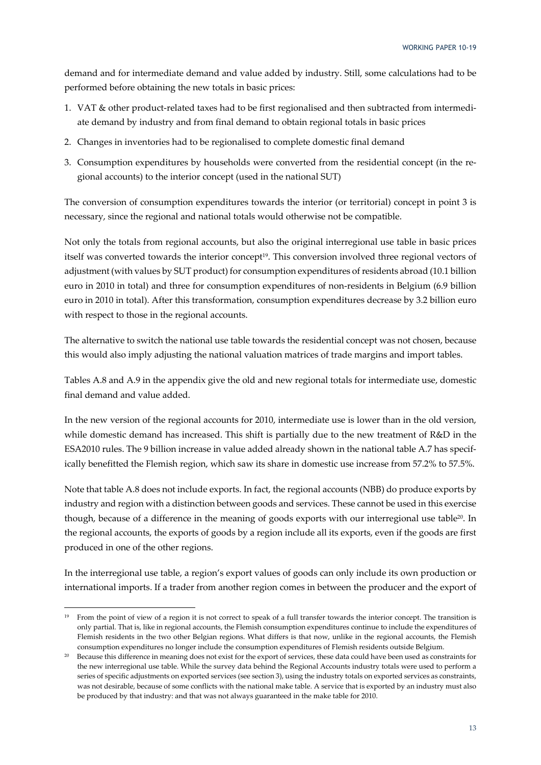demand and for intermediate demand and value added by industry. Still, some calculations had to be performed before obtaining the new totals in basic prices:

- 1. VAT & other product-related taxes had to be first regionalised and then subtracted from intermediate demand by industry and from final demand to obtain regional totals in basic prices
- 2. Changes in inventories had to be regionalised to complete domestic final demand
- 3. Consumption expenditures by households were converted from the residential concept (in the regional accounts) to the interior concept (used in the national SUT)

The conversion of consumption expenditures towards the interior (or territorial) concept in point 3 is necessary, since the regional and national totals would otherwise not be compatible.

Not only the totals from regional accounts, but also the original interregional use table in basic prices itself was converted towards the interior concept<sup>19</sup>. This conversion involved three regional vectors of adjustment (with values by SUT product) for consumption expenditures of residents abroad (10.1 billion euro in 2010 in total) and three for consumption expenditures of non-residents in Belgium (6.9 billion euro in 2010 in total). After this transformation, consumption expenditures decrease by 3.2 billion euro with respect to those in the regional accounts.

The alternative to switch the national use table towards the residential concept was not chosen, because this would also imply adjusting the national valuation matrices of trade margins and import tables.

Tables A.8 and A.9 in the appendix give the old and new regional totals for intermediate use, domestic final demand and value added.

In the new version of the regional accounts for 2010, intermediate use is lower than in the old version, while domestic demand has increased. This shift is partially due to the new treatment of R&D in the ESA2010 rules. The 9 billion increase in value added already shown in the national table A.7 has specifically benefitted the Flemish region, which saw its share in domestic use increase from 57.2% to 57.5%.

Note that table A.8 does not include exports. In fact, the regional accounts (NBB) do produce exports by industry and region with a distinction between goods and services. These cannot be used in this exercise though, because of a difference in the meaning of goods exports with our interregional use table<sup>20</sup>. In the regional accounts, the exports of goods by a region include all its exports, even if the goods are first produced in one of the other regions.

In the interregional use table, a region's export values of goods can only include its own production or international imports. If a trader from another region comes in between the producer and the export of

<sup>19</sup> From the point of view of a region it is not correct to speak of a full transfer towards the interior concept. The transition is only partial. That is, like in regional accounts, the Flemish consumption expenditures continue to include the expenditures of Flemish residents in the two other Belgian regions. What differs is that now, unlike in the regional accounts, the Flemish consumption expenditures no longer include the consumption expenditures of Flemish residents outside Belgium.

<sup>&</sup>lt;sup>20</sup> Because this difference in meaning does not exist for the export of services, these data could have been used as constraints for the new interregional use table. While the survey data behind the Regional Accounts industry totals were used to perform a series of specific adjustments on exported services (see section 3), using the industry totals on exported services as constraints, was not desirable, because of some conflicts with the national make table. A service that is exported by an industry must also be produced by that industry: and that was not always guaranteed in the make table for 2010.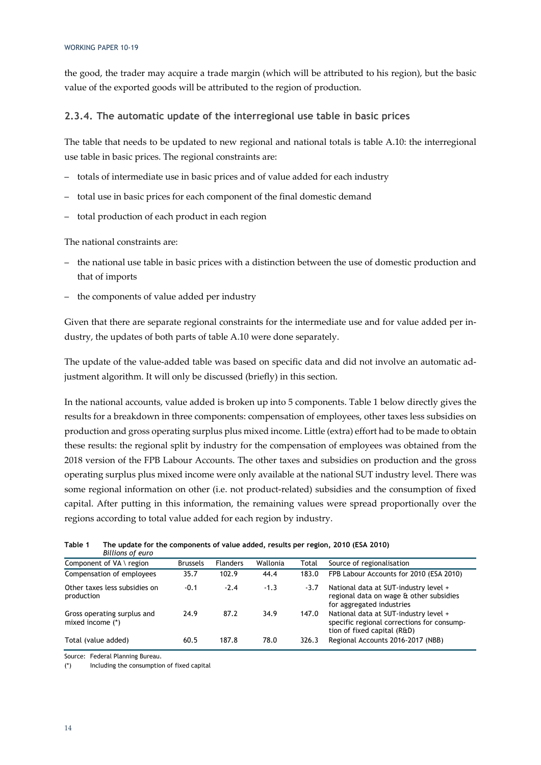the good, the trader may acquire a trade margin (which will be attributed to his region), but the basic value of the exported goods will be attributed to the region of production.

#### **2.3.4. The automatic update of the interregional use table in basic prices**

The table that needs to be updated to new regional and national totals is table A.10: the interregional use table in basic prices. The regional constraints are:

- totals of intermediate use in basic prices and of value added for each industry
- total use in basic prices for each component of the final domestic demand
- total production of each product in each region

The national constraints are:

- the national use table in basic prices with a distinction between the use of domestic production and that of imports
- the components of value added per industry

Given that there are separate regional constraints for the intermediate use and for value added per industry, the updates of both parts of table A.10 were done separately.

The update of the value-added table was based on specific data and did not involve an automatic adjustment algorithm. It will only be discussed (briefly) in this section.

In the national accounts, value added is broken up into 5 components. Table 1 below directly gives the results for a breakdown in three components: compensation of employees, other taxes less subsidies on production and gross operating surplus plus mixed income. Little (extra) effort had to be made to obtain these results: the regional split by industry for the compensation of employees was obtained from the 2018 version of the FPB Labour Accounts. The other taxes and subsidies on production and the gross operating surplus plus mixed income were only available at the national SUT industry level. There was some regional information on other (i.e. not product-related) subsidies and the consumption of fixed capital. After putting in this information, the remaining values were spread proportionally over the regions according to total value added for each region by industry.

| Table 1 | The update for the components of value added, results per region, 2010 (ESA 2010)<br>Billions of euro |                 |                 |          |       |                           |
|---------|-------------------------------------------------------------------------------------------------------|-----------------|-----------------|----------|-------|---------------------------|
|         | Component of $VA \setminus$ region                                                                    | <b>Brussels</b> | <b>Flanders</b> | Wallonia | Total | Source of regionalisation |

| Component of $VA \setminus$ region                | <b>Brussels</b> | <b>Flanders</b> | Wallonia | Total  | Source of regionalisation                                                                                          |
|---------------------------------------------------|-----------------|-----------------|----------|--------|--------------------------------------------------------------------------------------------------------------------|
| Compensation of employees                         | 35.7            | 102.9           | 44.4     | 183.0  | FPB Labour Accounts for 2010 (ESA 2010)                                                                            |
| Other taxes less subsidies on<br>production       | $-0.1$          | $-2.4$          | $-1.3$   | $-3.7$ | National data at SUT-industry level +<br>regional data on wage & other subsidies<br>for aggregated industries      |
| Gross operating surplus and<br>mixed income $(*)$ | 24.9            | 87.2            | 34.9     | 147.0  | National data at SUT-industry level +<br>specific regional corrections for consump-<br>tion of fixed capital (R&D) |
| Total (value added)                               | 60.5            | 187.8           | 78.0     | 326.3  | Regional Accounts 2016-2017 (NBB)                                                                                  |

Source: Federal Planning Bureau.

(\*) Including the consumption of fixed capital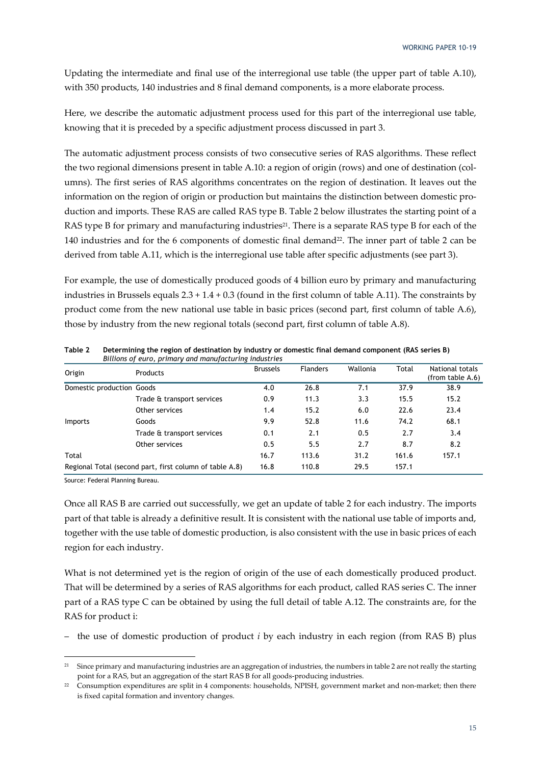Updating the intermediate and final use of the interregional use table (the upper part of table A.10), with 350 products, 140 industries and 8 final demand components, is a more elaborate process.

Here, we describe the automatic adjustment process used for this part of the interregional use table, knowing that it is preceded by a specific adjustment process discussed in part 3.

The automatic adjustment process consists of two consecutive series of RAS algorithms. These reflect the two regional dimensions present in table A.10: a region of origin (rows) and one of destination (columns). The first series of RAS algorithms concentrates on the region of destination. It leaves out the information on the region of origin or production but maintains the distinction between domestic production and imports. These RAS are called RAS type B. Table 2 below illustrates the starting point of a RAS type B for primary and manufacturing industries<sup>21</sup>. There is a separate RAS type B for each of the 140 industries and for the 6 components of domestic final demand<sup>22</sup>. The inner part of table 2 can be derived from table A.11, which is the interregional use table after specific adjustments (see part 3).

For example, the use of domestically produced goods of 4 billion euro by primary and manufacturing industries in Brussels equals  $2.3 + 1.4 + 0.3$  (found in the first column of table A.11). The constraints by product come from the new national use table in basic prices (second part, first column of table A.6), those by industry from the new regional totals (second part, first column of table A.8).

| Origin                                                  | <b>Products</b>            | <b>Brussels</b> | <b>Flanders</b> | Wallonia | Total | National totals<br>(from table $A.6$ ) |
|---------------------------------------------------------|----------------------------|-----------------|-----------------|----------|-------|----------------------------------------|
| Domestic production Goods                               |                            | 4.0             | 26.8            | 7.1      | 37.9  | 38.9                                   |
|                                                         | Trade & transport services | 0.9             | 11.3            | 3.3      | 15.5  | 15.2                                   |
|                                                         | Other services             | 1.4             | 15.2            | 6.0      | 22.6  | 23.4                                   |
| Imports                                                 | Goods                      | 9.9             | 52.8            | 11.6     | 74.2  | 68.1                                   |
|                                                         | Trade & transport services | 0.1             | 2.1             | 0.5      | 2.7   | 3.4                                    |
|                                                         | Other services             | 0.5             | 5.5             | 2.7      | 8.7   | 8.2                                    |
| Total                                                   |                            | 16.7            | 113.6           | 31.2     | 161.6 | 157.1                                  |
| Regional Total (second part, first column of table A.8) |                            | 16.8            | 110.8           | 29.5     | 157.1 |                                        |

**Table 2 Determining the region of destination by industry or domestic final demand component (RAS series B)**  *Billions of euro, primary and manufacturing industries* 

Source: Federal Planning Bureau.

Once all RAS B are carried out successfully, we get an update of table 2 for each industry. The imports part of that table is already a definitive result. It is consistent with the national use table of imports and, together with the use table of domestic production, is also consistent with the use in basic prices of each region for each industry.

What is not determined yet is the region of origin of the use of each domestically produced product. That will be determined by a series of RAS algorithms for each product, called RAS series C. The inner part of a RAS type C can be obtained by using the full detail of table A.12. The constraints are, for the RAS for product i:

– the use of domestic production of product *i* by each industry in each region (from RAS B) plus

<sup>21</sup> Since primary and manufacturing industries are an aggregation of industries, the numbers in table 2 are not really the starting point for a RAS, but an aggregation of the start RAS B for all goods-producing industries.

<sup>&</sup>lt;sup>22</sup> Consumption expenditures are split in 4 components: households, NPISH, government market and non-market; then there is fixed capital formation and inventory changes.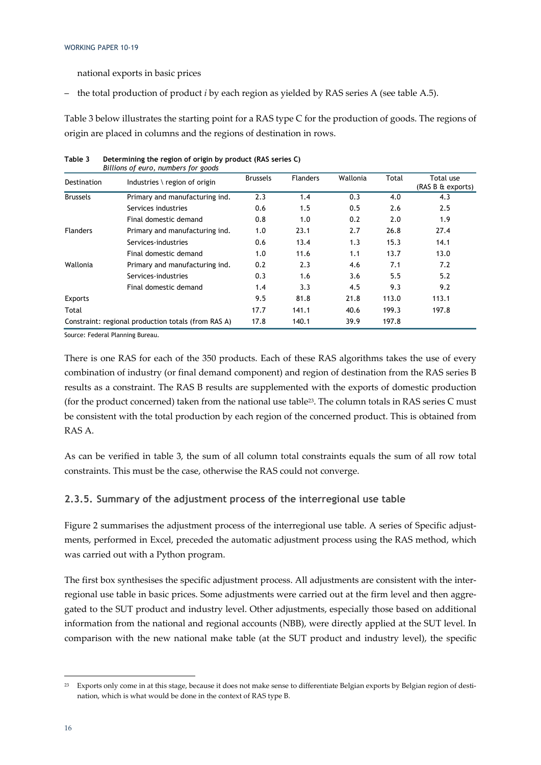national exports in basic prices

– the total production of product *i* by each region as yielded by RAS series A (see table A.5).

Table 3 below illustrates the starting point for a RAS type C for the production of goods. The regions of origin are placed in columns and the regions of destination in rows.

| Billions of euro, numbers for goods |                                                     |                 |                 |          |       |                                |
|-------------------------------------|-----------------------------------------------------|-----------------|-----------------|----------|-------|--------------------------------|
| Destination                         | Industries $\langle$ region of origin               | <b>Brussels</b> | <b>Flanders</b> | Wallonia | Total | Total use<br>(RAS B & exports) |
| <b>Brussels</b>                     | Primary and manufacturing ind.                      | 2.3             | 1.4             | 0.3      | 4.0   | 4.3                            |
|                                     | Services industries                                 | 0.6             | 1.5             | 0.5      | 2.6   | 2.5                            |
|                                     | Final domestic demand                               | 0.8             | 1.0             | 0.2      | 2.0   | 1.9                            |
| <b>Flanders</b>                     | Primary and manufacturing ind.                      | 1.0             | 23.1            | 2.7      | 26.8  | 27.4                           |
|                                     | Services-industries                                 | 0.6             | 13.4            | 1.3      | 15.3  | 14.1                           |
|                                     | Final domestic demand                               | 1.0             | 11.6            | 1.1      | 13.7  | 13.0                           |
| Wallonia                            | Primary and manufacturing ind.                      | 0.2             | 2.3             | 4.6      | 7.1   | 7.2                            |
|                                     | Services-industries                                 | 0.3             | 1.6             | 3.6      | 5.5   | 5.2                            |
|                                     | Final domestic demand                               | 1.4             | 3.3             | 4.5      | 9.3   | 9.2                            |
| <b>Exports</b>                      |                                                     | 9.5             | 81.8            | 21.8     | 113.0 | 113.1                          |
| Total                               |                                                     | 17.7            | 141.1           | 40.6     | 199.3 | 197.8                          |
|                                     | Constraint: regional production totals (from RAS A) | 17.8            | 140.1           | 39.9     | 197.8 |                                |

| Table 3 | Determining the region of origin by product (RAS series C) |
|---------|------------------------------------------------------------|
|         | Pillians of ouro numbers for goods                         |

Source: Federal Planning Bureau.

There is one RAS for each of the 350 products. Each of these RAS algorithms takes the use of every combination of industry (or final demand component) and region of destination from the RAS series B results as a constraint. The RAS B results are supplemented with the exports of domestic production (for the product concerned) taken from the national use table23. The column totals in RAS series C must be consistent with the total production by each region of the concerned product. This is obtained from RAS A.

As can be verified in table 3, the sum of all column total constraints equals the sum of all row total constraints. This must be the case, otherwise the RAS could not converge.

### **2.3.5. Summary of the adjustment process of the interregional use table**

Figure 2 summarises the adjustment process of the interregional use table. A series of Specific adjustments, performed in Excel, preceded the automatic adjustment process using the RAS method, which was carried out with a Python program.

The first box synthesises the specific adjustment process. All adjustments are consistent with the interregional use table in basic prices. Some adjustments were carried out at the firm level and then aggregated to the SUT product and industry level. Other adjustments, especially those based on additional information from the national and regional accounts (NBB), were directly applied at the SUT level. In comparison with the new national make table (at the SUT product and industry level), the specific

<sup>&</sup>lt;sup>23</sup> Exports only come in at this stage, because it does not make sense to differentiate Belgian exports by Belgian region of destination, which is what would be done in the context of RAS type B.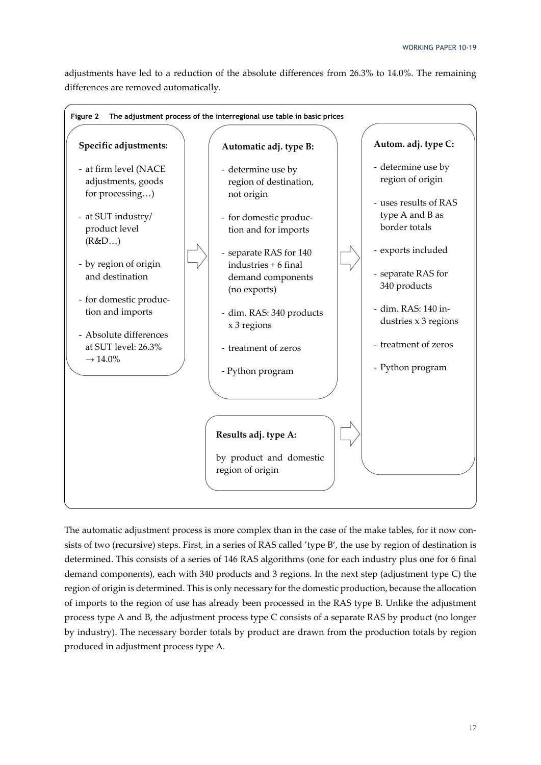adjustments have led to a reduction of the absolute differences from 26.3% to 14.0%. The remaining differences are removed automatically.



The automatic adjustment process is more complex than in the case of the make tables, for it now consists of two (recursive) steps. First, in a series of RAS called 'type B', the use by region of destination is determined. This consists of a series of 146 RAS algorithms (one for each industry plus one for 6 final demand components), each with 340 products and 3 regions. In the next step (adjustment type C) the region of origin is determined. This is only necessary for the domestic production, because the allocation of imports to the region of use has already been processed in the RAS type B. Unlike the adjustment process type A and B, the adjustment process type C consists of a separate RAS by product (no longer by industry). The necessary border totals by product are drawn from the production totals by region produced in adjustment process type A.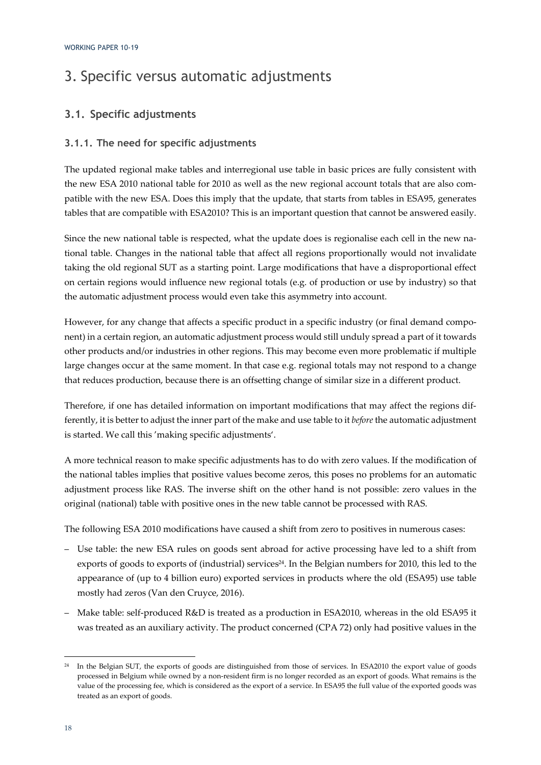## 3. Specific versus automatic adjustments

### **3.1. Specific adjustments**

### **3.1.1. The need for specific adjustments**

The updated regional make tables and interregional use table in basic prices are fully consistent with the new ESA 2010 national table for 2010 as well as the new regional account totals that are also compatible with the new ESA. Does this imply that the update, that starts from tables in ESA95, generates tables that are compatible with ESA2010? This is an important question that cannot be answered easily.

Since the new national table is respected, what the update does is regionalise each cell in the new national table. Changes in the national table that affect all regions proportionally would not invalidate taking the old regional SUT as a starting point. Large modifications that have a disproportional effect on certain regions would influence new regional totals (e.g. of production or use by industry) so that the automatic adjustment process would even take this asymmetry into account.

However, for any change that affects a specific product in a specific industry (or final demand component) in a certain region, an automatic adjustment process would still unduly spread a part of it towards other products and/or industries in other regions. This may become even more problematic if multiple large changes occur at the same moment. In that case e.g. regional totals may not respond to a change that reduces production, because there is an offsetting change of similar size in a different product.

Therefore, if one has detailed information on important modifications that may affect the regions differently, it is better to adjust the inner part of the make and use table to it *before* the automatic adjustment is started. We call this 'making specific adjustments'.

A more technical reason to make specific adjustments has to do with zero values. If the modification of the national tables implies that positive values become zeros, this poses no problems for an automatic adjustment process like RAS. The inverse shift on the other hand is not possible: zero values in the original (national) table with positive ones in the new table cannot be processed with RAS.

The following ESA 2010 modifications have caused a shift from zero to positives in numerous cases:

- Use table: the new ESA rules on goods sent abroad for active processing have led to a shift from exports of goods to exports of (industrial) services<sup>24</sup>. In the Belgian numbers for 2010, this led to the appearance of (up to 4 billion euro) exported services in products where the old (ESA95) use table mostly had zeros (Van den Cruyce, 2016).
- Make table: self-produced R&D is treated as a production in ESA2010, whereas in the old ESA95 it was treated as an auxiliary activity. The product concerned (CPA 72) only had positive values in the

<sup>&</sup>lt;sup>24</sup> In the Belgian SUT, the exports of goods are distinguished from those of services. In ESA2010 the export value of goods processed in Belgium while owned by a non-resident firm is no longer recorded as an export of goods. What remains is the value of the processing fee, which is considered as the export of a service. In ESA95 the full value of the exported goods was treated as an export of goods.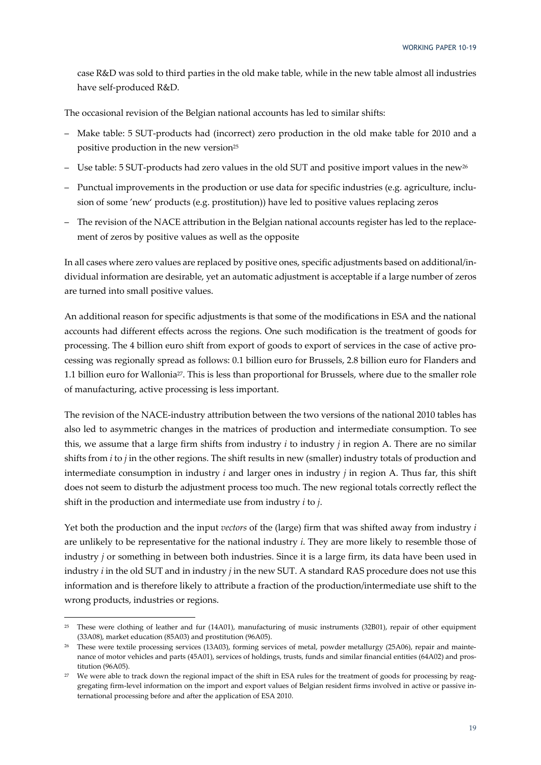case R&D was sold to third parties in the old make table, while in the new table almost all industries have self-produced R&D.

The occasional revision of the Belgian national accounts has led to similar shifts:

- Make table: 5 SUT-products had (incorrect) zero production in the old make table for 2010 and a positive production in the new version<sup>25</sup>
- Use table: 5 SUT-products had zero values in the old SUT and positive import values in the new26
- Punctual improvements in the production or use data for specific industries (e.g. agriculture, inclusion of some 'new' products (e.g. prostitution)) have led to positive values replacing zeros
- The revision of the NACE attribution in the Belgian national accounts register has led to the replacement of zeros by positive values as well as the opposite

In all cases where zero values are replaced by positive ones, specific adjustments based on additional/individual information are desirable, yet an automatic adjustment is acceptable if a large number of zeros are turned into small positive values.

An additional reason for specific adjustments is that some of the modifications in ESA and the national accounts had different effects across the regions. One such modification is the treatment of goods for processing. The 4 billion euro shift from export of goods to export of services in the case of active processing was regionally spread as follows: 0.1 billion euro for Brussels, 2.8 billion euro for Flanders and 1.1 billion euro for Wallonia27. This is less than proportional for Brussels, where due to the smaller role of manufacturing, active processing is less important.

The revision of the NACE-industry attribution between the two versions of the national 2010 tables has also led to asymmetric changes in the matrices of production and intermediate consumption. To see this, we assume that a large firm shifts from industry *i* to industry *j* in region A. There are no similar shifts from *i* to *j* in the other regions. The shift results in new (smaller) industry totals of production and intermediate consumption in industry *i* and larger ones in industry *j* in region A. Thus far, this shift does not seem to disturb the adjustment process too much. The new regional totals correctly reflect the shift in the production and intermediate use from industry *i* to *j*.

Yet both the production and the input *vectors* of the (large) firm that was shifted away from industry *i*  are unlikely to be representative for the national industry *i*. They are more likely to resemble those of industry *j* or something in between both industries. Since it is a large firm, its data have been used in industry *i* in the old SUT and in industry *j* in the new SUT. A standard RAS procedure does not use this information and is therefore likely to attribute a fraction of the production/intermediate use shift to the wrong products, industries or regions.

<sup>&</sup>lt;sup>25</sup> These were clothing of leather and fur (14A01), manufacturing of music instruments (32B01), repair of other equipment (33A08), market education (85A03) and prostitution (96A05).

<sup>&</sup>lt;sup>26</sup> These were textile processing services (13A03), forming services of metal, powder metallurgy (25A06), repair and maintenance of motor vehicles and parts (45A01), services of holdings, trusts, funds and similar financial entities (64A02) and prostitution (96A05).

<sup>&</sup>lt;sup>27</sup> We were able to track down the regional impact of the shift in ESA rules for the treatment of goods for processing by reaggregating firm-level information on the import and export values of Belgian resident firms involved in active or passive international processing before and after the application of ESA 2010.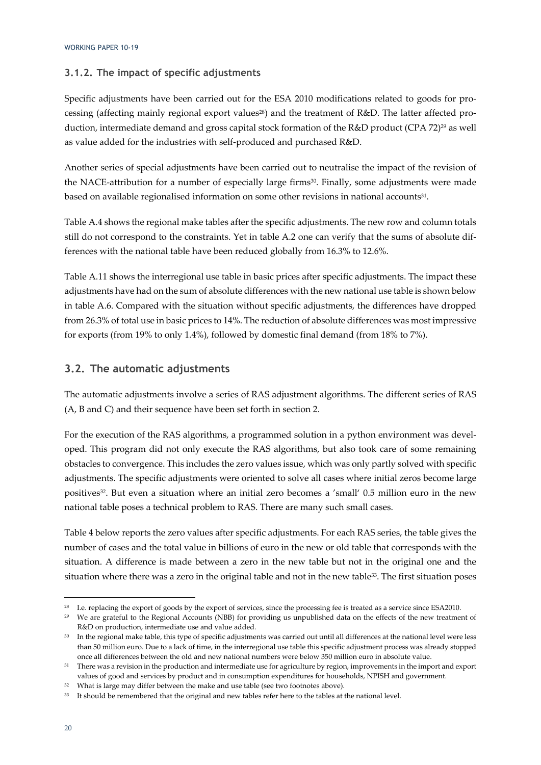### **3.1.2. The impact of specific adjustments**

Specific adjustments have been carried out for the ESA 2010 modifications related to goods for processing (affecting mainly regional export values<sup>28</sup>) and the treatment of R&D. The latter affected production, intermediate demand and gross capital stock formation of the R&D product (CPA 72)<sup>29</sup> as well as value added for the industries with self-produced and purchased R&D.

Another series of special adjustments have been carried out to neutralise the impact of the revision of the NACE-attribution for a number of especially large firms<sup>30</sup>. Finally, some adjustments were made based on available regionalised information on some other revisions in national accounts31.

Table A.4 shows the regional make tables after the specific adjustments. The new row and column totals still do not correspond to the constraints. Yet in table A.2 one can verify that the sums of absolute differences with the national table have been reduced globally from 16.3% to 12.6%.

Table A.11 shows the interregional use table in basic prices after specific adjustments. The impact these adjustments have had on the sum of absolute differences with the new national use table is shown below in table A.6. Compared with the situation without specific adjustments, the differences have dropped from 26.3% of total use in basic prices to 14%. The reduction of absolute differences was most impressive for exports (from 19% to only 1.4%), followed by domestic final demand (from 18% to 7%).

### **3.2. The automatic adjustments**

The automatic adjustments involve a series of RAS adjustment algorithms. The different series of RAS (A, B and C) and their sequence have been set forth in section 2.

For the execution of the RAS algorithms, a programmed solution in a python environment was developed. This program did not only execute the RAS algorithms, but also took care of some remaining obstacles to convergence. This includes the zero values issue, which was only partly solved with specific adjustments. The specific adjustments were oriented to solve all cases where initial zeros become large positives<sup>32</sup>. But even a situation where an initial zero becomes a 'small' 0.5 million euro in the new national table poses a technical problem to RAS. There are many such small cases.

Table 4 below reports the zero values after specific adjustments. For each RAS series, the table gives the number of cases and the total value in billions of euro in the new or old table that corresponds with the situation. A difference is made between a zero in the new table but not in the original one and the situation where there was a zero in the original table and not in the new table<sup>33</sup>. The first situation poses

<sup>&</sup>lt;sup>28</sup> I.e. replacing the export of goods by the export of services, since the processing fee is treated as a service since ESA2010.

<sup>29</sup> We are grateful to the Regional Accounts (NBB) for providing us unpublished data on the effects of the new treatment of R&D on production, intermediate use and value added.

<sup>&</sup>lt;sup>30</sup> In the regional make table, this type of specific adjustments was carried out until all differences at the national level were less than 50 million euro. Due to a lack of time, in the interregional use table this specific adjustment process was already stopped once all differences between the old and new national numbers were below 350 million euro in absolute value.

<sup>&</sup>lt;sup>31</sup> There was a revision in the production and intermediate use for agriculture by region, improvements in the import and export values of good and services by product and in consumption expenditures for households, NPISH and government.

<sup>&</sup>lt;sup>32</sup> What is large may differ between the make and use table (see two footnotes above).

<sup>&</sup>lt;sup>33</sup> It should be remembered that the original and new tables refer here to the tables at the national level.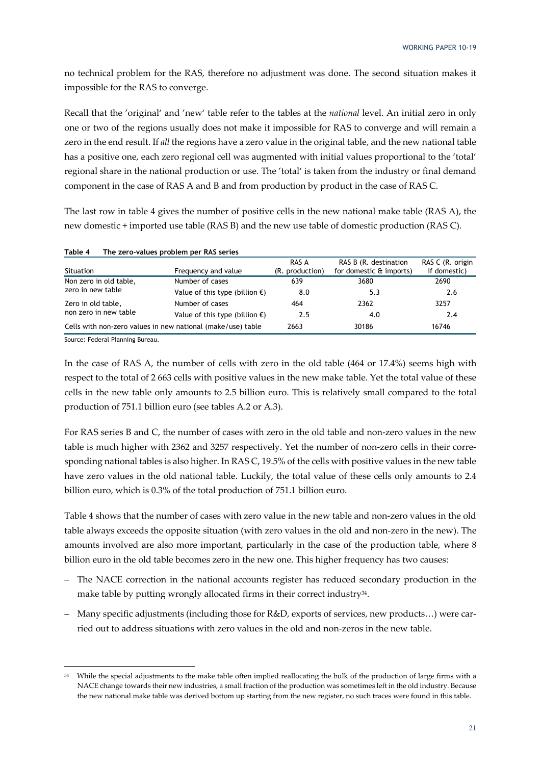no technical problem for the RAS, therefore no adjustment was done. The second situation makes it impossible for the RAS to converge.

Recall that the 'original' and 'new' table refer to the tables at the *national* level. An initial zero in only one or two of the regions usually does not make it impossible for RAS to converge and will remain a zero in the end result. If *all* the regions have a zero value in the original table, and the new national table has a positive one, each zero regional cell was augmented with initial values proportional to the 'total' regional share in the national production or use. The 'total' is taken from the industry or final demand component in the case of RAS A and B and from production by product in the case of RAS C.

The last row in table 4 gives the number of positive cells in the new national make table (RAS A), the new domestic + imported use table (RAS B) and the new use table of domestic production (RAS C).

|                        |                                                             | RAS A           | RAS B (R. destination   | RAS C (R. origin |
|------------------------|-------------------------------------------------------------|-----------------|-------------------------|------------------|
| <b>Situation</b>       | Frequency and value                                         | (R. production) | for domestic & imports) | if domestic)     |
| Non zero in old table, | Number of cases                                             | 639             | 3680                    | 2690             |
| zero in new table      | Value of this type (billion $\epsilon$ )                    | 8.0             | 5.3                     | 2.6              |
| Zero in old table,     | Number of cases                                             | 464             | 2362                    | 3257             |
| non zero in new table  | Value of this type (billion $\epsilon$ )                    | 2.5             | 4.0                     | 2.4              |
|                        | Cells with non-zero values in new national (make/use) table | 2663            | 30186                   | 16746            |

### **Table 4 The zero-values problem per RAS series**

Source: Federal Planning Bureau.

In the case of RAS A, the number of cells with zero in the old table (464 or 17.4%) seems high with respect to the total of 2 663 cells with positive values in the new make table. Yet the total value of these cells in the new table only amounts to 2.5 billion euro. This is relatively small compared to the total production of 751.1 billion euro (see tables A.2 or A.3).

For RAS series B and C, the number of cases with zero in the old table and non-zero values in the new table is much higher with 2362 and 3257 respectively. Yet the number of non-zero cells in their corresponding national tables is also higher. In RAS C, 19.5% of the cells with positive values in the new table have zero values in the old national table. Luckily, the total value of these cells only amounts to 2.4 billion euro, which is 0.3% of the total production of 751.1 billion euro.

Table 4 shows that the number of cases with zero value in the new table and non-zero values in the old table always exceeds the opposite situation (with zero values in the old and non-zero in the new). The amounts involved are also more important, particularly in the case of the production table, where 8 billion euro in the old table becomes zero in the new one. This higher frequency has two causes:

- The NACE correction in the national accounts register has reduced secondary production in the make table by putting wrongly allocated firms in their correct industry<sup>34</sup>.
- Many specific adjustments (including those for R&D, exports of services, new products…) were carried out to address situations with zero values in the old and non-zeros in the new table.

<sup>&</sup>lt;sup>34</sup> While the special adjustments to the make table often implied reallocating the bulk of the production of large firms with a NACE change towards their new industries, a small fraction of the production was sometimes left in the old industry. Because the new national make table was derived bottom up starting from the new register, no such traces were found in this table.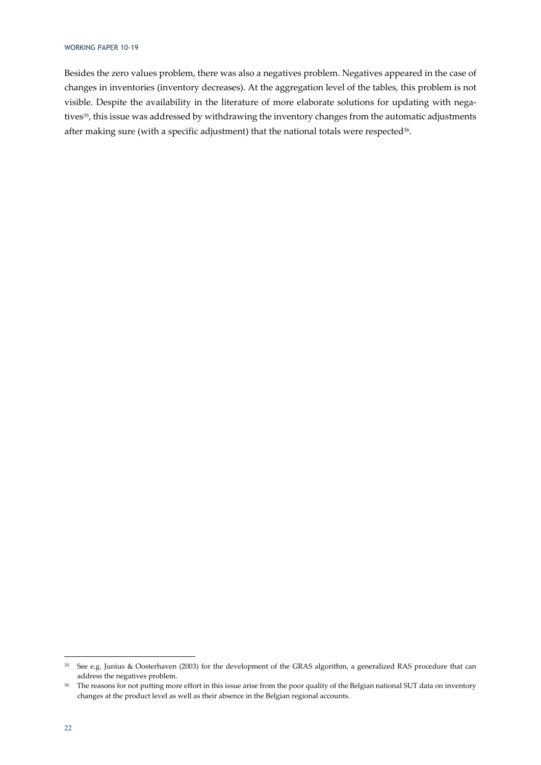Besides the zero values problem, there was also a negatives problem. Negatives appeared in the case of changes in inventories (inventory decreases). At the aggregation level of the tables, this problem is not visible. Despite the availability in the literature of more elaborate solutions for updating with negatives<sup>35</sup>, this issue was addressed by withdrawing the inventory changes from the automatic adjustments after making sure (with a specific adjustment) that the national totals were respected<sup>36</sup>.

<sup>&</sup>lt;sup>35</sup> See e.g. Junius & Oosterhaven (2003) for the development of the GRAS algorithm, a generalized RAS procedure that can address the negatives problem.

<sup>&</sup>lt;sup>36</sup> The reasons for not putting more effort in this issue arise from the poor quality of the Belgian national SUT data on inventory changes at the product level as well as their absence in the Belgian regional accounts.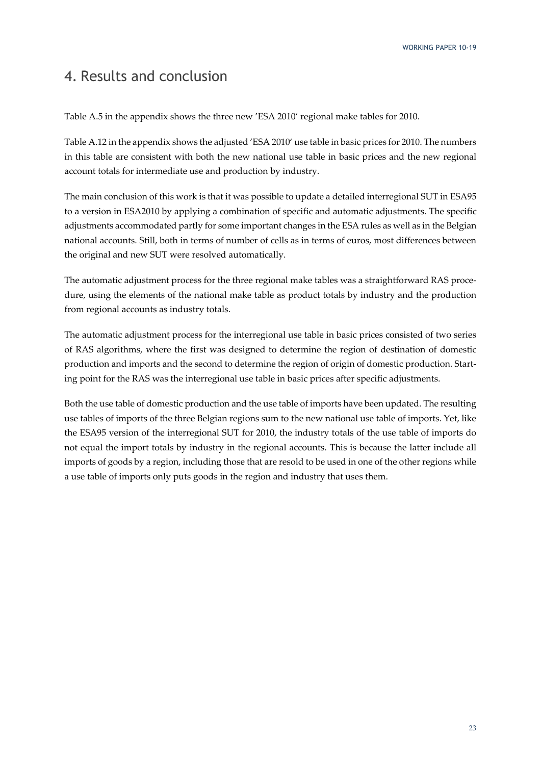## 4. Results and conclusion

Table A.5 in the appendix shows the three new 'ESA 2010' regional make tables for 2010.

Table A.12 in the appendix shows the adjusted 'ESA 2010' use table in basic prices for 2010. The numbers in this table are consistent with both the new national use table in basic prices and the new regional account totals for intermediate use and production by industry.

The main conclusion of this work is that it was possible to update a detailed interregional SUT in ESA95 to a version in ESA2010 by applying a combination of specific and automatic adjustments. The specific adjustments accommodated partly for some important changes in the ESA rules as well as in the Belgian national accounts. Still, both in terms of number of cells as in terms of euros, most differences between the original and new SUT were resolved automatically.

The automatic adjustment process for the three regional make tables was a straightforward RAS procedure, using the elements of the national make table as product totals by industry and the production from regional accounts as industry totals.

The automatic adjustment process for the interregional use table in basic prices consisted of two series of RAS algorithms, where the first was designed to determine the region of destination of domestic production and imports and the second to determine the region of origin of domestic production. Starting point for the RAS was the interregional use table in basic prices after specific adjustments.

Both the use table of domestic production and the use table of imports have been updated. The resulting use tables of imports of the three Belgian regions sum to the new national use table of imports. Yet, like the ESA95 version of the interregional SUT for 2010, the industry totals of the use table of imports do not equal the import totals by industry in the regional accounts. This is because the latter include all imports of goods by a region, including those that are resold to be used in one of the other regions while a use table of imports only puts goods in the region and industry that uses them.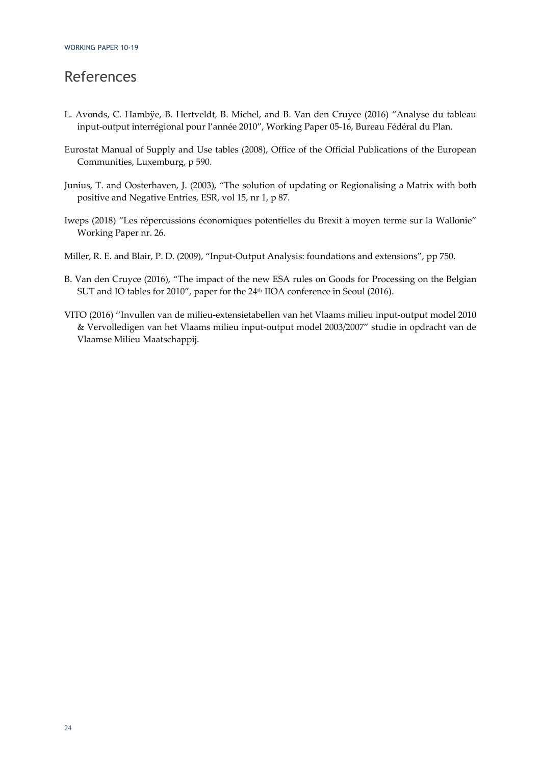## References

- L. Avonds, C. Hambÿe, B. Hertveldt, B. Michel, and B. Van den Cruyce (2016) "Analyse du tableau input-output interrégional pour l'année 2010", Working Paper 05-16, Bureau Fédéral du Plan.
- Eurostat Manual of Supply and Use tables (2008), Office of the Official Publications of the European Communities, Luxemburg, p 590.
- Junius, T. and Oosterhaven, J. (2003), "The solution of updating or Regionalising a Matrix with both positive and Negative Entries, ESR, vol 15, nr 1, p 87.
- Iweps (2018) "Les répercussions économiques potentielles du Brexit à moyen terme sur la Wallonie" Working Paper nr. 26.
- Miller, R. E. and Blair, P. D. (2009), "Input-Output Analysis: foundations and extensions", pp 750.
- B. Van den Cruyce (2016), "The impact of the new ESA rules on Goods for Processing on the Belgian SUT and IO tables for 2010", paper for the 24<sup>th</sup> IIOA conference in Seoul (2016).
- VITO (2016) ''Invullen van de milieu-extensietabellen van het Vlaams milieu input-output model 2010 & Vervolledigen van het Vlaams milieu input-output model 2003/2007" studie in opdracht van de Vlaamse Milieu Maatschappij.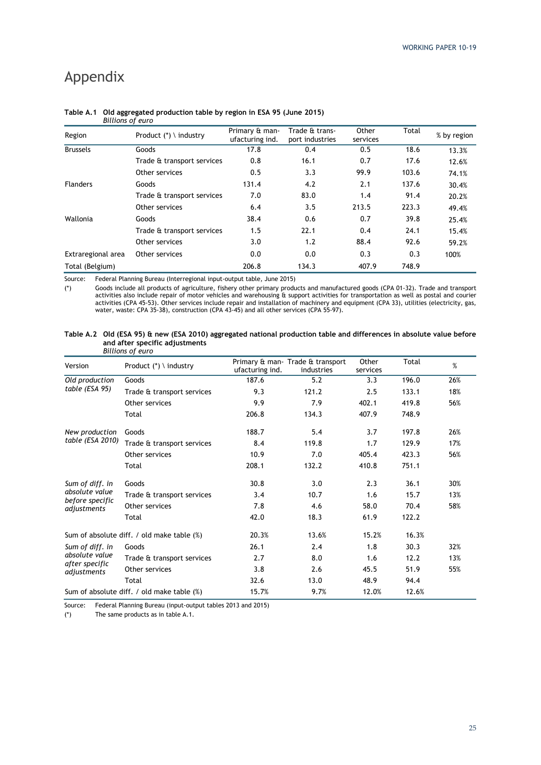## Appendix

| Region             | Product $(*) \setminus$ industry | Primary & man-<br>ufacturing ind. | Trade & trans-<br>port industries | Other<br>services | Total | % by region |
|--------------------|----------------------------------|-----------------------------------|-----------------------------------|-------------------|-------|-------------|
| <b>Brussels</b>    | Goods                            | 17.8                              | 0.4                               | 0.5               | 18.6  | 13.3%       |
|                    | Trade & transport services       | 0.8                               | 16.1                              | 0.7               | 17.6  | 12.6%       |
|                    | Other services                   | 0.5                               | 3.3                               | 99.9              | 103.6 | 74.1%       |
| <b>Flanders</b>    | Goods                            | 131.4                             | 4.2                               | 2.1               | 137.6 | 30.4%       |
|                    | Trade & transport services       | 7.0                               | 83.0                              | 1.4               | 91.4  | 20.2%       |
|                    | Other services                   | 6.4                               | 3.5                               | 213.5             | 223.3 | 49.4%       |
| Wallonia           | Goods                            | 38.4                              | 0.6                               | 0.7               | 39.8  | 25.4%       |
|                    | Trade & transport services       | 1.5                               | 22.1                              | 0.4               | 24.1  | 15.4%       |
|                    | Other services                   | 3.0                               | 1.2                               | 88.4              | 92.6  | 59.2%       |
| Extraregional area | Other services                   | 0.0                               | 0.0                               | 0.3               | 0.3   | 100%        |
| Total (Belgium)    |                                  | 206.8                             | 134.3                             | 407.9             | 748.9 |             |

#### **Table A.1 Old aggregated production table by region in ESA 95 (June 2015)**  *Billions of euro*

Source: Federal Planning Bureau (Interregional input-output table, June 2015)

(\*) Goods include all products of agriculture, fishery other primary products and manufactured goods (CPA 01-32). Trade and transport activities also include repair of motor vehicles and warehousing & support activities for transportation as well as postal and courier activities (CPA 45-53). Other services include repair and installation of machinery and equipment (CPA 33), utilities (electricity, gas, water, waste: CPA 35-38), construction (CPA 43-45) and all other services (CPA 55-97).

#### **Table A.2 Old (ESA 95) & new (ESA 2010) aggregated national production table and differences in absolute value before and after specific adjustments**  *Billions of euro*

| Version                        | Product $(*) \setminus$ industry           | ufacturing ind. | Primary & man - Trade & transport<br>industries | Other<br>services | Total | %   |
|--------------------------------|--------------------------------------------|-----------------|-------------------------------------------------|-------------------|-------|-----|
| Old production                 | Goods                                      | 187.6           | 5.2                                             | 3.3               | 196.0 | 26% |
| table (ESA 95)                 | Trade & transport services                 | 9.3             | 121.2                                           | 2.5               | 133.1 | 18% |
|                                | Other services                             | 9.9             | 7.9                                             | 402.1             | 419.8 | 56% |
|                                | Total                                      | 206.8           | 134.3                                           | 407.9             | 748.9 |     |
| New production                 | Goods                                      | 188.7           | 5.4                                             | 3.7               | 197.8 | 26% |
| table (ESA 2010)               | Trade & transport services                 | 8.4             | 119.8                                           | 1.7               | 129.9 | 17% |
|                                | Other services                             | 10.9            | 7.0                                             | 405.4             | 423.3 | 56% |
|                                | Total                                      | 208.1           | 132.2                                           | 410.8             | 751.1 |     |
| Sum of diff. in                | Goods                                      | 30.8            | 3.0                                             | 2.3               | 36.1  | 30% |
| absolute value                 | Trade & transport services                 | 3.4             | 10.7                                            | 1.6               | 15.7  | 13% |
| before specific<br>adjustments | Other services                             | 7.8             | 4.6                                             | 58.0              | 70.4  | 58% |
|                                | Total                                      | 42.0            | 18.3                                            | 61.9              | 122.2 |     |
|                                | Sum of absolute diff. / old make table (%) | 20.3%           | 13.6%                                           | 15.2%             | 16.3% |     |
| Sum of diff. in                | Goods                                      | 26.1            | 2.4                                             | 1.8               | 30.3  | 32% |
| absolute value                 | Trade & transport services                 | 2.7             | 8.0                                             | 1.6               | 12.2  | 13% |
| after specific<br>adjustments  | Other services                             | 3.8             | 2.6                                             | 45.5              | 51.9  | 55% |
|                                | Total                                      | 32.6            | 13.0                                            | 48.9              | 94.4  |     |
|                                | Sum of absolute diff. / old make table (%) | 15.7%           | 9.7%                                            | 12.0%             | 12.6% |     |

Source: Federal Planning Bureau (input-output tables 2013 and 2015)

(\*) The same products as in table A.1.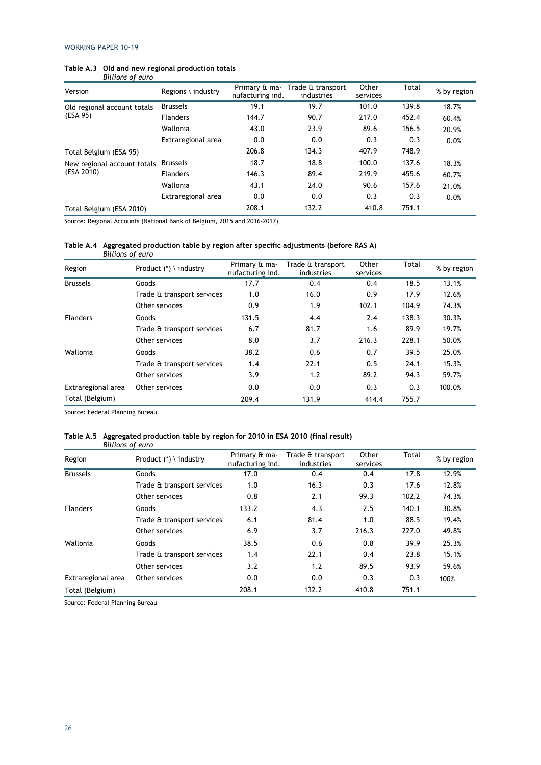| Table A.3 Old and new regional production totals |
|--------------------------------------------------|
| Billions of euro                                 |

| Version                     | Regions $\setminus$ industry<br>nufacturing ind. |       | Primary & ma- Trade & transport<br>industries | Other<br>services | Total | % by region |  |
|-----------------------------|--------------------------------------------------|-------|-----------------------------------------------|-------------------|-------|-------------|--|
| Old regional account totals | <b>Brussels</b>                                  | 19.1  | 19.7                                          | 101.0             | 139.8 | 18.7%       |  |
| (ESA 95)                    | <b>Flanders</b>                                  | 144.7 | 90.7                                          | 217.0             | 452.4 | 60.4%       |  |
|                             | Wallonia                                         | 43.0  | 23.9                                          | 89.6              | 156.5 | 20.9%       |  |
|                             | Extraregional area                               | 0.0   | 0.0                                           | 0.3               | 0.3   | 0.0%        |  |
| Total Belgium (ESA 95)      |                                                  | 206.8 | 134.3                                         | 407.9             | 748.9 |             |  |
| New regional account totals | <b>Brussels</b>                                  | 18.7  | 18.8                                          | 100.0             | 137.6 | 18.3%       |  |
| (ESA 2010)                  | <b>Flanders</b>                                  | 146.3 | 89.4                                          | 219.9             | 455.6 | 60.7%       |  |
|                             | Wallonia                                         | 43.1  | 24.0                                          | 90.6              | 157.6 | 21.0%       |  |
|                             | Extraregional area                               | 0.0   | 0.0                                           | 0.3               | 0.3   | 0.0%        |  |
| Total Belgium (ESA 2010)    |                                                  | 208.1 | 132.2                                         | 410.8             | 751.1 |             |  |

Source: Regional Accounts (National Bank of Belgium, 2015 and 2016-2017)

#### **Table A.4 Aggregated production table by region after specific adjustments (before RAS A)**

| <b>Billions of euro</b> |                                  |                                   |                                 |                   |       |             |
|-------------------------|----------------------------------|-----------------------------------|---------------------------------|-------------------|-------|-------------|
| Region                  | Product $(*) \setminus$ industry | Primary & ma-<br>nufacturing ind. | Trade & transport<br>industries | Other<br>services | Total | % by region |
| <b>Brussels</b>         | Goods                            | 17.7                              | 0.4                             | 0.4               | 18.5  | 13.1%       |
|                         | Trade & transport services       | 1.0                               | 16.0                            | 0.9               | 17.9  | 12.6%       |
|                         | Other services                   | 0.9                               | 1.9                             | 102.1             | 104.9 | 74.3%       |
| <b>Flanders</b>         | Goods                            | 131.5                             | 4.4                             | 2.4               | 138.3 | 30.3%       |
|                         | Trade & transport services       | 6.7                               | 81.7                            | 1.6               | 89.9  | 19.7%       |
|                         | Other services                   | 8.0                               | 3.7                             | 216.3             | 228.1 | 50.0%       |
| Wallonia                | Goods                            | 38.2                              | 0.6                             | 0.7               | 39.5  | 25.0%       |
|                         | Trade & transport services       | 1.4                               | 22.1                            | 0.5               | 24.1  | 15.3%       |
|                         | Other services                   | 3.9                               | 1.2                             | 89.2              | 94.3  | 59.7%       |
| Extraregional area      | Other services                   | 0.0                               | 0.0                             | 0.3               | 0.3   | 100.0%      |
| Total (Belgium)         |                                  | 209.4                             | 131.9                           | 414.4             | 755.7 |             |

Source: Federal Planning Bureau

#### **Table A.5 Aggregated production table by region for 2010 in ESA 2010 (final result)**  *Billions of euro*

| Region             | Product $(*) \setminus$ industry | Primary & ma-<br>nufacturing ind. | Trade & transport<br>industries | Other<br>services | Total | % by region |
|--------------------|----------------------------------|-----------------------------------|---------------------------------|-------------------|-------|-------------|
| <b>Brussels</b>    | Goods                            | 17.0                              | 0.4                             | 0.4               | 17.8  | 12.9%       |
|                    | Trade & transport services       | 1.0                               | 16.3                            | 0.3               | 17.6  | 12.8%       |
|                    | Other services                   | 0.8                               | 2.1                             | 99.3              | 102.2 | 74.3%       |
| <b>Flanders</b>    | Goods                            | 133.2                             | 4.3                             | 2.5               | 140.1 | 30.8%       |
|                    | Trade & transport services       | 6.1                               | 81.4                            | 1.0               | 88.5  | 19.4%       |
|                    | Other services                   | 6.9                               | 3.7                             | 216.3             | 227.0 | 49.8%       |
| Wallonia           | Goods                            | 38.5                              | 0.6                             | 0.8               | 39.9  | 25.3%       |
|                    | Trade & transport services       | 1.4                               | 22.1                            | 0.4               | 23.8  | 15.1%       |
|                    | Other services                   | 3.2                               | 1.2                             | 89.5              | 93.9  | 59.6%       |
| Extraregional area | Other services                   | 0.0                               | 0.0                             | 0.3               | 0.3   | 100%        |
| Total (Belgium)    |                                  | 208.1                             | 132.2                           | 410.8             | 751.1 |             |

Source: Federal Planning Bureau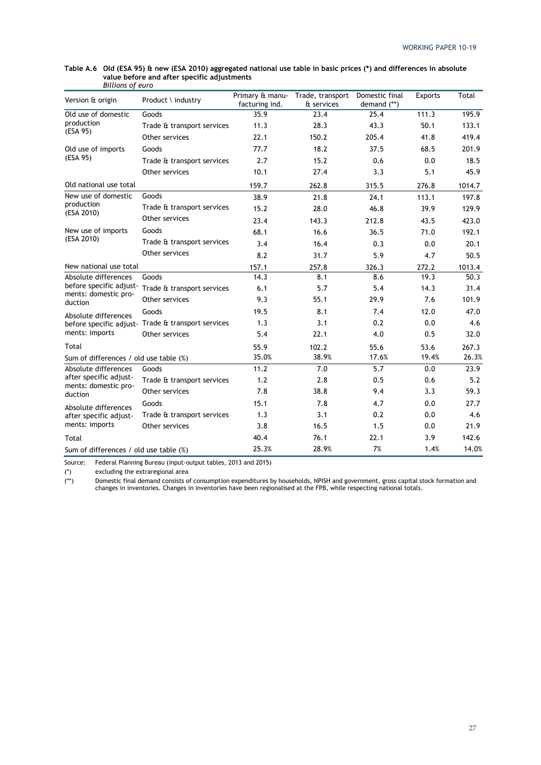| Version & origin                                                                                                                                                                                                                                                                                                                                                                                                                                                                                                                                                                                               | Product \ industry         | facturing ind. | Primary & manu- Trade, transport<br>& services | Domestic final<br>demand $(**)$ | <b>Exports</b> | Total  |
|----------------------------------------------------------------------------------------------------------------------------------------------------------------------------------------------------------------------------------------------------------------------------------------------------------------------------------------------------------------------------------------------------------------------------------------------------------------------------------------------------------------------------------------------------------------------------------------------------------------|----------------------------|----------------|------------------------------------------------|---------------------------------|----------------|--------|
| Old use of domestic                                                                                                                                                                                                                                                                                                                                                                                                                                                                                                                                                                                            | Goods                      | 35.9           | 23.4                                           | 25.4                            | 111.3          | 195.9  |
|                                                                                                                                                                                                                                                                                                                                                                                                                                                                                                                                                                                                                | Trade & transport services | 11.3           | 28.3                                           | 43.3                            | 50.1           | 133.1  |
| production<br>(ESA 95)<br>Old use of imports<br>(ESA 95)<br>Old national use total<br>New use of domestic<br>production<br>(ESA 2010)<br>New use of imports<br>(ESA 2010)<br>New national use total<br>Absolute differences<br>before specific adjust-<br>ments: domestic pro-<br>duction<br>Absolute differences<br>before specific adjust- Trade & transport services<br>ments: imports<br>Total<br>Sum of differences / old use table (%)<br>Absolute differences<br>after specific adjust-<br>ments: domestic pro-<br>duction<br>Absolute differences<br>after specific adjust-<br>ments: imports<br>Total | Other services             | 22.1           | 150.2                                          | 205.4                           | 41.8           | 419.4  |
|                                                                                                                                                                                                                                                                                                                                                                                                                                                                                                                                                                                                                | Goods                      | 77.7           | 18.2                                           | 37.5                            | 68.5           | 201.9  |
|                                                                                                                                                                                                                                                                                                                                                                                                                                                                                                                                                                                                                | Trade & transport services | 2.7            | 15.2                                           | 0.6                             | 0.0            | 18.5   |
|                                                                                                                                                                                                                                                                                                                                                                                                                                                                                                                                                                                                                | Other services             | 10.1           | 27.4                                           | 3.3                             | 5.1            | 45.9   |
|                                                                                                                                                                                                                                                                                                                                                                                                                                                                                                                                                                                                                |                            | 159.7          | 262.8                                          | 315.5                           | 276.8          | 1014.7 |
|                                                                                                                                                                                                                                                                                                                                                                                                                                                                                                                                                                                                                | Goods                      | 38.9           | 21.8                                           | 24.1                            | 113.1          | 197.8  |
|                                                                                                                                                                                                                                                                                                                                                                                                                                                                                                                                                                                                                | Trade & transport services | 15.2           | 28.0                                           | 46.8                            | 39.9           | 129.9  |
|                                                                                                                                                                                                                                                                                                                                                                                                                                                                                                                                                                                                                | Other services             | 23.4           | 143.3                                          | 212.8                           | 43.5           | 423.0  |
|                                                                                                                                                                                                                                                                                                                                                                                                                                                                                                                                                                                                                | Goods                      | 68.1           | 16.6                                           | 36.5                            | 71.0           | 192.1  |
|                                                                                                                                                                                                                                                                                                                                                                                                                                                                                                                                                                                                                | Trade & transport services | 3.4            | 16.4                                           | 0.3                             | 0.0            | 20.1   |
|                                                                                                                                                                                                                                                                                                                                                                                                                                                                                                                                                                                                                | Other services             | 8.2            | 31.7                                           | 5.9                             | 4.7            | 50.5   |
|                                                                                                                                                                                                                                                                                                                                                                                                                                                                                                                                                                                                                |                            | 157.1          | 257.8                                          | 326.3                           | 272.2          | 1013.4 |
|                                                                                                                                                                                                                                                                                                                                                                                                                                                                                                                                                                                                                | Goods                      | 14.3           | 8.1                                            | 8.6                             | 19.3           | 50.3   |
| Sum of differences / old use table (%)                                                                                                                                                                                                                                                                                                                                                                                                                                                                                                                                                                         | Trade & transport services | 6.1            | 5.7                                            | 5.4                             | 14.3           | 31.4   |
|                                                                                                                                                                                                                                                                                                                                                                                                                                                                                                                                                                                                                | Other services             | 9.3            | 55.1                                           | 29.9                            | 7.6            | 101.9  |
|                                                                                                                                                                                                                                                                                                                                                                                                                                                                                                                                                                                                                | Goods                      | 19.5           | 8.1                                            | 7.4                             | 12.0           | 47.0   |
|                                                                                                                                                                                                                                                                                                                                                                                                                                                                                                                                                                                                                |                            | 1.3            | 3.1                                            | 0.2                             | 0.0            | 4.6    |
|                                                                                                                                                                                                                                                                                                                                                                                                                                                                                                                                                                                                                | Other services             | 5.4            | 22.1                                           | 4.0                             | 0.5            | 32.0   |
|                                                                                                                                                                                                                                                                                                                                                                                                                                                                                                                                                                                                                |                            | 55.9           | 102.2                                          | 55.6                            | 53.6           | 267.3  |
|                                                                                                                                                                                                                                                                                                                                                                                                                                                                                                                                                                                                                |                            | 35.0%          | 38.9%                                          | 17.6%                           | 19.4%          | 26.3%  |
|                                                                                                                                                                                                                                                                                                                                                                                                                                                                                                                                                                                                                | Goods                      | 11.2           | 7.0                                            | 5.7                             | 0.0            | 23.9   |
|                                                                                                                                                                                                                                                                                                                                                                                                                                                                                                                                                                                                                | Trade & transport services | 1.2            | 2.8                                            | 0.5                             | 0.6            | 5.2    |
|                                                                                                                                                                                                                                                                                                                                                                                                                                                                                                                                                                                                                | Other services             | 7.8            | 38.8                                           | 9.4                             | 3.3            | 59.3   |
|                                                                                                                                                                                                                                                                                                                                                                                                                                                                                                                                                                                                                | Goods                      | 15.1           | 7.8                                            | 4.7                             | 0.0            | 27.7   |
|                                                                                                                                                                                                                                                                                                                                                                                                                                                                                                                                                                                                                | Trade & transport services | 1.3            | 3.1                                            | 0.2                             | 0.0            | 4.6    |
|                                                                                                                                                                                                                                                                                                                                                                                                                                                                                                                                                                                                                | Other services             | 3.8            | 16.5                                           | 1.5                             | 0.0            | 21.9   |
|                                                                                                                                                                                                                                                                                                                                                                                                                                                                                                                                                                                                                |                            | 40.4           | 76.1                                           | 22.1                            | 3.9            | 142.6  |
|                                                                                                                                                                                                                                                                                                                                                                                                                                                                                                                                                                                                                |                            | 25.3%          | 28.9%                                          | 7%                              | 1.4%           | 14.0%  |

| Table A.6 Old (ESA 95) & new (ESA 2010) aggregated national use table in basic prices (*) and differences in absolute |
|-----------------------------------------------------------------------------------------------------------------------|
| value before and after specific adjustments                                                                           |
| Billions of euro                                                                                                      |

excluding the extraregional area

Source: Federal Planning Bureau (input-output tables, 2013 and 2015)<br>
(\*) excluding the extraregional area<br>
(\*\*) Domestic final demand consists of consumption expenditures b (\*\*) Domestic final demand consists of consumption expenditures by households, NPISH and government, gross capital stock formation and changes in inventories. Changes in inventories have been regionalised at the FPB, while respecting national totals.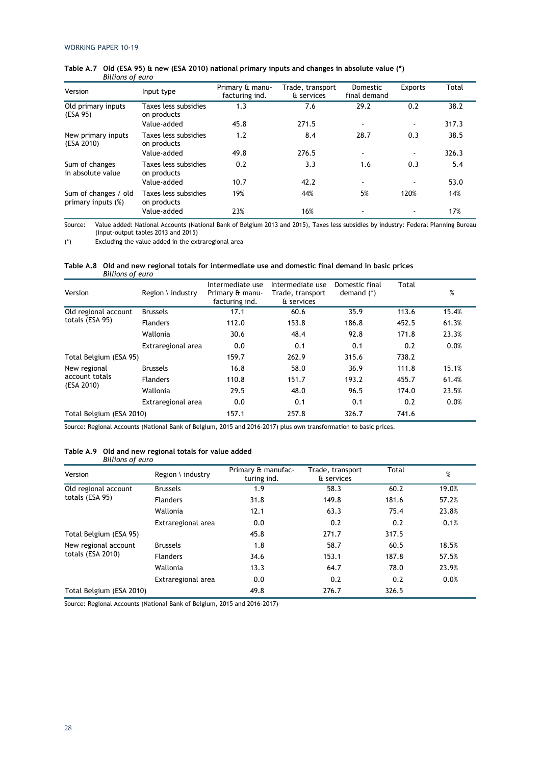| Version                                                                           | Input type                          | Primary & manu-<br>facturing ind. | Trade, transport<br>& services | Domestic<br>final demand | <b>Exports</b>           | Total |
|-----------------------------------------------------------------------------------|-------------------------------------|-----------------------------------|--------------------------------|--------------------------|--------------------------|-------|
| Old primary inputs<br>(ESA 95)                                                    | Taxes less subsidies<br>on products | 1.3                               | 7.6                            | 29.2                     | 0.2                      | 38.2  |
|                                                                                   | Value-added                         | 45.8                              | 271.5                          | $\overline{\phantom{a}}$ | ٠                        | 317.3 |
| New primary inputs<br>(ESA 2010)                                                  | Taxes less subsidies<br>on products | 1.2                               | 8.4                            | 28.7                     | 0.3                      | 38.5  |
| Sum of changes<br>in absolute value<br>Sum of changes / old<br>primary inputs (%) | Value-added                         | 49.8                              | 276.5                          | $\blacksquare$           | $\blacksquare$           | 326.3 |
|                                                                                   | Taxes less subsidies<br>on products | 0.2                               | 3.3                            | 1.6                      | 0.3                      | 5.4   |
|                                                                                   | Value-added                         | 10.7                              | 42.2                           | $\blacksquare$           | $\overline{\phantom{0}}$ | 53.0  |
|                                                                                   | Taxes less subsidies<br>on products | 19%                               | 44%                            | 5%                       | 120%                     | 14%   |
|                                                                                   | Value-added                         | 23%                               | 16%                            |                          |                          | 17%   |

#### **Table A.7 Old (ESA 95) & new (ESA 2010) national primary inputs and changes in absolute value (\*)**  *Billions of euro*

Source: Value added: National Accounts (National Bank of Belgium 2013 and 2015), Taxes less subsidies by industry: Federal Planning Bureau (input-output tables 2013 and 2015)

(\*) Excluding the value added in the extraregional area

**Table A.8 Old and new regional totals for intermediate use and domestic final demand in basic prices**  *Billions of euro* 

| Version                                         | Region $\setminus$ industry | Intermediate use<br>Primary & manu-<br>facturing ind. | Intermediate use<br>Trade, transport<br>& services | Domestic final<br>demand $(*)$ | Total | %     |
|-------------------------------------------------|-----------------------------|-------------------------------------------------------|----------------------------------------------------|--------------------------------|-------|-------|
| Old regional account                            | <b>Brussels</b>             | 17.1                                                  | 60.6                                               | 35.9                           | 113.6 | 15.4% |
|                                                 | <b>Flanders</b>             | 112.0                                                 | 153.8                                              | 186.8                          | 452.5 | 61.3% |
|                                                 | Wallonia                    | 30.6                                                  | 48.4                                               | 92.8                           | 171.8 | 23.3% |
|                                                 | Extraregional area          | 0.0                                                   | 0.1                                                | 0.1                            | 0.2   | 0.0%  |
| Total Belgium (ESA 95)                          |                             | 159.7                                                 | 262.9                                              | 315.6                          | 738.2 |       |
| New regional                                    | <b>Brussels</b>             | 16.8                                                  | 58.0                                               | 36.9                           | 111.8 | 15.1% |
| totals (ESA 95)<br>account totals<br>(ESA 2010) | <b>Flanders</b>             | 110.8                                                 | 151.7                                              | 193.2                          | 455.7 | 61.4% |
|                                                 | Wallonia                    | 29.5                                                  | 48.0                                               | 96.5                           | 174.0 | 23.5% |
|                                                 | Extraregional area          | 0.0                                                   | 0.1                                                | 0.1                            | 0.2   | 0.0%  |
| Total Belgium (ESA 2010)                        |                             | 157.1                                                 | 257.8                                              | 326.7                          | 741.6 |       |

Source: Regional Accounts (National Bank of Belgium, 2015 and 2016-2017) plus own transformation to basic prices.

#### **Table A.9 Old and new regional totals for value added**  *Billions of euro*

| Version                  | Region $\setminus$ industry | Primary & manufac-<br>turing ind. | Trade, transport<br>& services | Total | %     |
|--------------------------|-----------------------------|-----------------------------------|--------------------------------|-------|-------|
| Old regional account     | <b>Brussels</b>             | 1.9                               | 58.3                           | 60.2  | 19.0% |
| totals (ESA 95)          | <b>Flanders</b>             | 31.8                              | 149.8                          | 181.6 | 57.2% |
|                          | Wallonia                    | 12.1                              | 63.3                           | 75.4  | 23.8% |
|                          | Extraregional area          | 0.0                               | 0.2                            | 0.2   | 0.1%  |
| Total Belgium (ESA 95)   |                             | 45.8                              | 271.7                          | 317.5 |       |
| New regional account     | <b>Brussels</b>             | 1.8                               | 58.7                           | 60.5  | 18.5% |
| totals (ESA 2010)        | <b>Flanders</b>             | 34.6                              | 153.1                          | 187.8 | 57.5% |
|                          | Wallonia                    | 13.3                              | 64.7                           | 78.0  | 23.9% |
|                          | Extraregional area          | 0.0                               | 0.2                            | 0.2   | 0.0%  |
| Total Belgium (ESA 2010) |                             | 49.8                              | 276.7                          | 326.5 |       |

Source: Regional Accounts (National Bank of Belgium, 2015 and 2016-2017)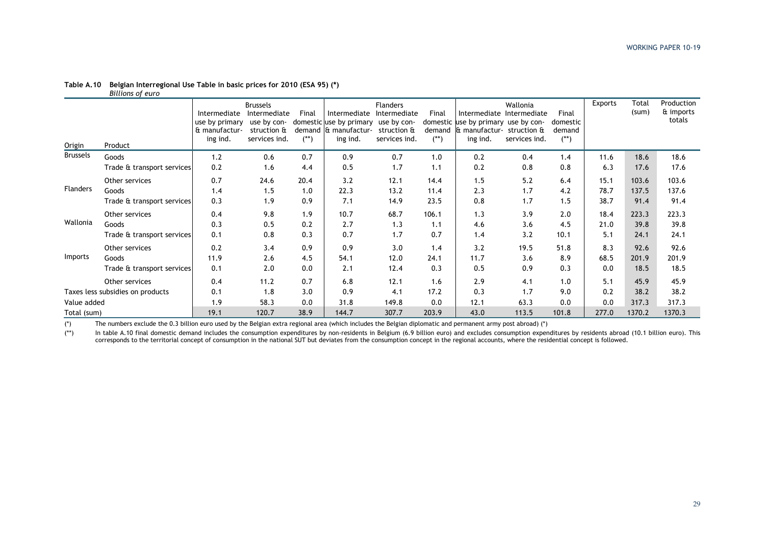| Origin          | Product                          | Intermediate<br>use by primary<br>& manufactur-<br>ing ind. | <b>Brussels</b><br>Intermediate<br>use by con-<br>struction &<br>services ind. | Final<br>$(**)$ | Intermediate<br>domestic use by primary<br>demand & manufactur-<br>ing ind. | <b>Flanders</b><br>Intermediate<br>use by con-<br>struction &<br>services ind. | Final<br>demand<br>$(**)$ | Intermediate<br>domestic use by primary use by con-<br>l& manufactur-<br>ing ind. | Wallonia<br>Intermediate<br>struction &<br>services ind. | Final<br>domestic<br>demand<br>$(**)$ | Exports | Total<br>(sum) | Production<br>& imports<br>totals |
|-----------------|----------------------------------|-------------------------------------------------------------|--------------------------------------------------------------------------------|-----------------|-----------------------------------------------------------------------------|--------------------------------------------------------------------------------|---------------------------|-----------------------------------------------------------------------------------|----------------------------------------------------------|---------------------------------------|---------|----------------|-----------------------------------|
| <b>Brussels</b> | Goods                            | 1.2                                                         | 0.6                                                                            | 0.7             | 0.9                                                                         | 0.7                                                                            | 1.0                       | 0.2                                                                               | 0.4                                                      | 1.4                                   | 11.6    | 18.6           | 18.6                              |
|                 | Trade & transport services       | 0.2                                                         | 1.6                                                                            | 4.4             | 0.5                                                                         | 1.7                                                                            | 1.1                       | 0.2                                                                               | 0.8                                                      | 0.8                                   | 6.3     | 17.6           | 17.6                              |
|                 | Other services                   | 0.7                                                         | 24.6                                                                           | 20.4            | 3.2                                                                         | 12.1                                                                           | 14.4                      | 1.5                                                                               | 5.2                                                      | 6.4                                   | 15.1    | 103.6          | 103.6                             |
| <b>Flanders</b> | Goods                            | 1.4                                                         | 1.5                                                                            | 1.0             | 22.3                                                                        | 13.2                                                                           | 11.4                      | 2.3                                                                               | 1.7                                                      | 4.2                                   | 78.7    | 137.5          | 137.6                             |
|                 | Trade & transport services       | 0.3                                                         | 1.9                                                                            | 0.9             | 7.1                                                                         | 14.9                                                                           | 23.5                      | 0.8                                                                               | 1.7                                                      | 1.5                                   | 38.7    | 91.4           | 91.4                              |
|                 | Other services                   | 0.4                                                         | 9.8                                                                            | 1.9             | 10.7                                                                        | 68.7                                                                           | 106.1                     | 1.3                                                                               | 3.9                                                      | 2.0                                   | 18.4    | 223.3          | 223.3                             |
| Wallonia        | Goods                            | 0.3                                                         | 0.5                                                                            | 0.2             | 2.7                                                                         | 1.3                                                                            | 1.1                       | 4.6                                                                               | 3.6                                                      | 4.5                                   | 21.0    | 39.8           | 39.8                              |
|                 | Trade & transport services       | 0.1                                                         | 0.8                                                                            | 0.3             | 0.7                                                                         | 1.7                                                                            | 0.7                       | 1.4                                                                               | 3.2                                                      | 10.1                                  | 5.1     | 24.1           | 24.1                              |
|                 | Other services                   | 0.2                                                         | 3.4                                                                            | 0.9             | 0.9                                                                         | 3.0                                                                            | 1.4                       | 3.2                                                                               | 19.5                                                     | 51.8                                  | 8.3     | 92.6           | 92.6                              |
| Imports         | Goods                            | 11.9                                                        | 2.6                                                                            | 4.5             | 54.1                                                                        | 12.0                                                                           | 24.1                      | 11.7                                                                              | 3.6                                                      | 8.9                                   | 68.5    | 201.9          | 201.9                             |
|                 | Trade & transport services       | 0.1                                                         | 2.0                                                                            | 0.0             | 2.1                                                                         | 12.4                                                                           | 0.3                       | 0.5                                                                               | 0.9                                                      | 0.3                                   | 0.0     | 18.5           | 18.5                              |
|                 | Other services                   | 0.4                                                         | 11.2                                                                           | 0.7             | 6.8                                                                         | 12.1                                                                           | 1.6                       | 2.9                                                                               | 4.1                                                      | 1.0                                   | 5.1     | 45.9           | 45.9                              |
|                 | Taxes less subsidies on products | 0.1                                                         | 1.8                                                                            | 3.0             | 0.9                                                                         | 4.1                                                                            | 17.2                      | 0.3                                                                               | 1.7                                                      | 9.0                                   | 0.2     | 38.2           | 38.2                              |
| Value added     |                                  | 1.9                                                         | 58.3                                                                           | 0.0             | 31.8                                                                        | 149.8                                                                          | 0.0                       | 12.1                                                                              | 63.3                                                     | 0.0                                   | 0.0     | 317.3          | 317.3                             |
| Total (sum)     |                                  | 19.1                                                        | 120.7                                                                          | 38.9            | 144.7                                                                       | 307.7                                                                          | 203.9                     | 43.0                                                                              | 113.5                                                    | 101.8                                 | 277.0   | 1370.2         | 1370.3                            |

#### **Table A.10 Belgian Interregional Use Table in basic prices for 2010 (ESA 95) (\*)**  *Billions of euro*

(\*) The numbers exclude the 0.3 billion euro used by the Belgian extra regional area (which includes the Belgian diplomatic and permanent army post abroad) (\*)

(\*\*) In table A.10 final domestic demand includes the consumption expenditures by non-residents in Belgium (6.9 billion euro) and excludes consumption expenditures by residents abroad (10.1 billion euro). This corresponds to the territorial concept of consumption in the national SUT but deviates from the consumption concept in the regional accounts, where the residential concept is followed.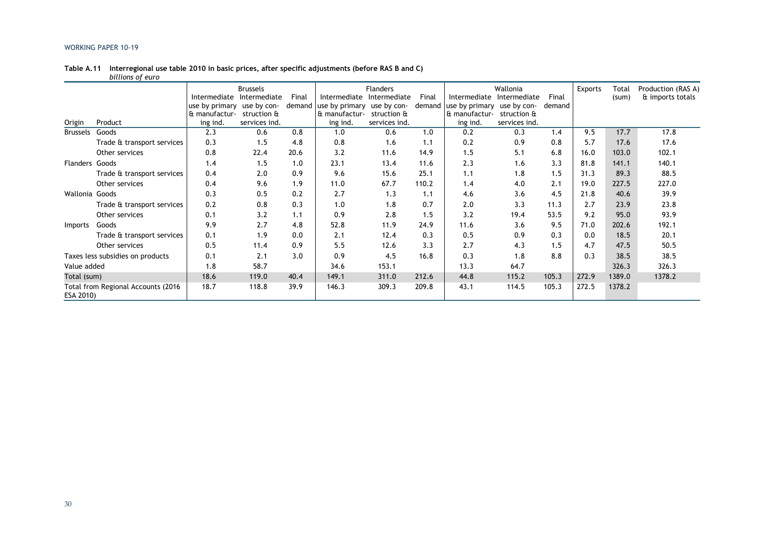#### **Table A.11 Interregional use table 2010 in basic prices, after specific adjustments (before RAS B and C)**

*billions of euro* 

|                       |                                     |                            | <b>Brussels</b> |        |                            | <b>Flanders</b> |       |                                   | Wallonia      |        | <b>Exports</b> | Total  | Production (RAS A) |
|-----------------------|-------------------------------------|----------------------------|-----------------|--------|----------------------------|-----------------|-------|-----------------------------------|---------------|--------|----------------|--------|--------------------|
|                       |                                     | Intermediate               | Intermediate    | Final  | Intermediate               | Intermediate    | Final | Intermediate                      | Intermediate  | Final  |                | (sum)  | & imports totals   |
|                       |                                     | use by primary use by con- |                 | demand | use by primary use by con- |                 |       | demand use by primary use by con- |               | demand |                |        |                    |
|                       |                                     | & manufactur-              | struction &     |        | & manufactur-              | struction &     |       | & manufactur-                     | struction &   |        |                |        |                    |
| Origin                | Product                             | ing ind.                   | services ind.   |        | ing ind.                   | services ind.   |       | ing ind.                          | services ind. |        |                |        |                    |
| <b>Brussels</b>       | Goods                               | 2.3                        | 0.6             | 0.8    | 1.0                        | 0.6             | 1.0   | 0.2                               | 0.3           | 1.4    | 9.5            | 17.7   | 17.8               |
|                       | Trade & transport services          | 0.3                        | 1.5             | 4.8    | 0.8                        | 1.6             | 1.1   | 0.2                               | 0.9           | 0.8    | 5.7            | 17.6   | 17.6               |
|                       | Other services                      | 0.8                        | 22.4            | 20.6   | 3.2                        | 11.6            | 14.9  | 1.5                               | 5.1           | 6.8    | 16.0           | 103.0  | 102.1              |
| <b>Flanders Goods</b> |                                     | 1.4                        | 1.5             | 1.0    | 23.1                       | 13.4            | 11.6  | 2.3                               | 1.6           | 3.3    | 81.8           | 141.1  | 140.1              |
|                       | Trade & transport services          | 0.4                        | 2.0             | 0.9    | 9.6                        | 15.6            | 25.1  | 1.1                               | 1.8           | 1.5    | 31.3           | 89.3   | 88.5               |
|                       | Other services                      | 0.4                        | 9.6             | 1.9    | 11.0                       | 67.7            | 110.2 | 1.4                               | 4.0           | 2.1    | 19.0           | 227.5  | 227.0              |
| Wallonia Goods        |                                     | 0.3                        | 0.5             | 0.2    | 2.7                        | 1.3             | 1.1   | 4.6                               | 3.6           | 4.5    | 21.8           | 40.6   | 39.9               |
|                       | Trade & transport services          | 0.2                        | 0.8             | 0.3    | 1.0                        | 1.8             | 0.7   | 2.0                               | 3.3           | 11.3   | 2.7            | 23.9   | 23.8               |
|                       | Other services                      | 0.1                        | 3.2             | 1.1    | 0.9                        | 2.8             | 1.5   | 3.2                               | 19.4          | 53.5   | 9.2            | 95.0   | 93.9               |
| Imports               | Goods                               | 9.9                        | 2.7             | 4.8    | 52.8                       | 11.9            | 24.9  | 11.6                              | 3.6           | 9.5    | 71.0           | 202.6  | 192.1              |
|                       | Trade & transport services          | 0.1                        | 1.9             | 0.0    | 2.1                        | 12.4            | 0.3   | 0.5                               | 0.9           | 0.3    | 0.0            | 18.5   | 20.1               |
|                       | Other services                      | 0.5                        | 11.4            | 0.9    | 5.5                        | 12.6            | 3.3   | 2.7                               | 4.3           | 1.5    | 4.7            | 47.5   | 50.5               |
|                       | Taxes less subsidies on products    | 0.1                        | 2.1             | 3.0    | 0.9                        | 4.5             | 16.8  | 0.3                               | 1.8           | 8.8    | 0.3            | 38.5   | 38.5               |
| Value added           |                                     | 1.8                        | 58.7            |        | 34.6                       | 153.1           |       | 13.3                              | 64.7          |        |                | 326.3  | 326.3              |
| Total (sum)           |                                     | 18.6                       | 119.0           | 40.4   | 149.1                      | 311.0           | 212.6 | 44.8                              | 115.2         | 105.3  | 272.9          | 1389.0 | 1378.2             |
| ESA 2010)             | Total from Regional Accounts (2016) | 18.7                       | 118.8           | 39.9   | 146.3                      | 309.3           | 209.8 | 43.1                              | 114.5         | 105.3  | 272.5          | 1378.2 |                    |